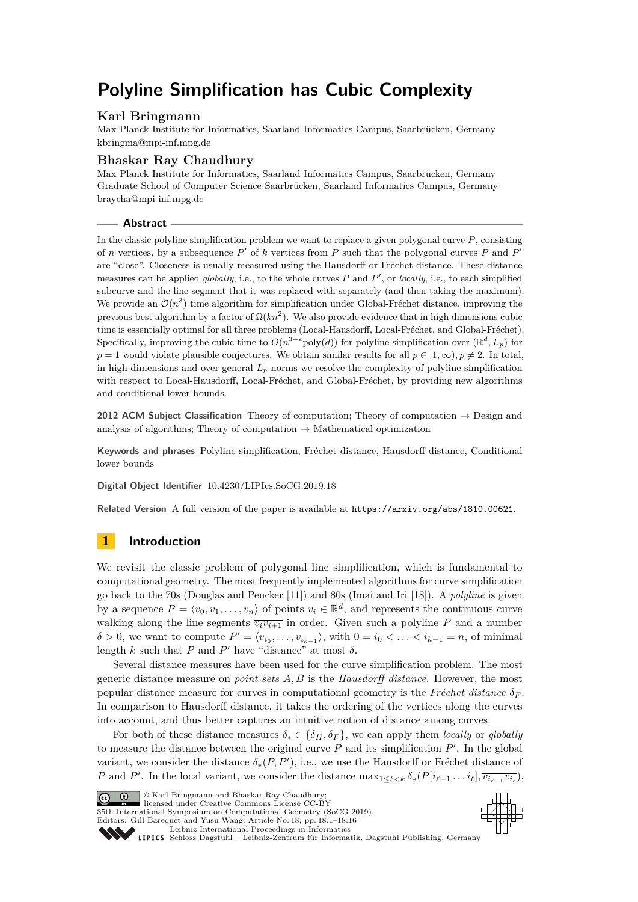# **Polyline Simplification has Cubic Complexity**

## **Karl Bringmann**

Max Planck Institute for Informatics, Saarland Informatics Campus, Saarbrücken, Germany [kbringma@mpi-inf.mpg.de](mailto:kbringma@mpi-inf.mpg.de)

## **Bhaskar Ray Chaudhury**

Max Planck Institute for Informatics, Saarland Informatics Campus, Saarbrücken, Germany Graduate School of Computer Science Saarbrücken, Saarland Informatics Campus, Germany [braycha@mpi-inf.mpg.de](mailto:braycha@mpi-inf.mpg.de)

### **Abstract**

In the classic polyline simplification problem we want to replace a given polygonal curve *P*, consisting of *n* vertices, by a subsequence  $P'$  of *k* vertices from  $P$  such that the polygonal curves  $P$  and  $P'$ are "close". Closeness is usually measured using the Hausdorff or Fréchet distance. These distance measures can be applied *globally*, i.e., to the whole curves P and P', or *locally*, i.e., to each simplified subcurve and the line segment that it was replaced with separately (and then taking the maximum). We provide an  $\mathcal{O}(n^3)$  time algorithm for simplification under Global-Fréchet distance, improving the previous best algorithm by a factor of  $\Omega(kn^2)$ . We also provide evidence that in high dimensions cubic time is essentially optimal for all three problems (Local-Hausdorff, Local-Fréchet, and Global-Fréchet). Specifically, improving the cubic time to  $O(n^{3-\epsilon} \text{poly}(d))$  for polyline simplification over  $(\mathbb{R}^d, L_p)$  for *p* = 1 would violate plausible conjectures. We obtain similar results for all  $p \in [1, \infty), p \neq 2$ . In total, in high dimensions and over general  $L_p$ -norms we resolve the complexity of polyline simplification with respect to Local-Hausdorff, Local-Fréchet, and Global-Fréchet, by providing new algorithms and conditional lower bounds.

**2012 ACM Subject Classification** Theory of computation; Theory of computation → Design and analysis of algorithms; Theory of computation  $\rightarrow$  Mathematical optimization

**Keywords and phrases** Polyline simplification, Fréchet distance, Hausdorff distance, Conditional lower bounds

**Digital Object Identifier** [10.4230/LIPIcs.SoCG.2019.18](https://doi.org/10.4230/LIPIcs.SoCG.2019.18)

**Related Version** A full version of the paper is available at <https://arxiv.org/abs/1810.00621>.

# **1 Introduction**

We revisit the classic problem of polygonal line simplification, which is fundamental to computational geometry. The most frequently implemented algorithms for curve simplification go back to the 70s (Douglas and Peucker [\[11\]](#page-15-0)) and 80s (Imai and Iri [\[18\]](#page-15-1)). A *polyline* is given by a sequence  $P = \langle v_0, v_1, \ldots, v_n \rangle$  of points  $v_i \in \mathbb{R}^d$ , and represents the continuous curve walking along the line segments  $\overline{v_i v_{i+1}}$  in order. Given such a polyline *P* and a number  $\delta > 0$ , we want to compute  $P' = \langle v_{i_0}, \ldots, v_{i_{k-1}} \rangle$ , with  $0 = i_0 < \ldots < i_{k-1} = n$ , of minimal length *k* such that *P* and *P*<sup> $\prime$ </sup> have "distance" at most  $\delta$ .

Several distance measures have been used for the curve simplification problem. The most generic distance measure on *point sets A, B* is the *Hausdorff distance*. However, the most popular distance measure for curves in computational geometry is the *Fréchet distance δ<sup>F</sup>* . In comparison to Hausdorff distance, it takes the ordering of the vertices along the curves into account, and thus better captures an intuitive notion of distance among curves.

For both of these distance measures  $\delta_* \in {\delta_H, \delta_F}$ , we can apply them *locally* or *globally* to measure the distance between the original curve  $P$  and its simplification  $P'$ . In the global variant, we consider the distance  $\delta_*(P, P')$ , i.e., we use the Hausdorff or Fréchet distance of *P* and *P*'. In the local variant, we consider the distance  $\max_{1 \leq \ell \leq k} \delta_*(P[i_{\ell-1} \ldots i_\ell], \overline{v_{i_{\ell-1}} v_{i_\ell}})$ 



© Karl Bringmann and Bhaskar Ray Chaudhury; licensed under Creative Commons License CC-BY 35th International Symposium on Computational Geometry (SoCG 2019). Editors: Gill Barequet and Yusu Wang; Article No. 18; pp. 18:1–18[:16](#page-15-2)



[Leibniz International Proceedings in Informatics](https://www.dagstuhl.de/lipics/) [Schloss Dagstuhl – Leibniz-Zentrum für Informatik, Dagstuhl Publishing, Germany](https://www.dagstuhl.de)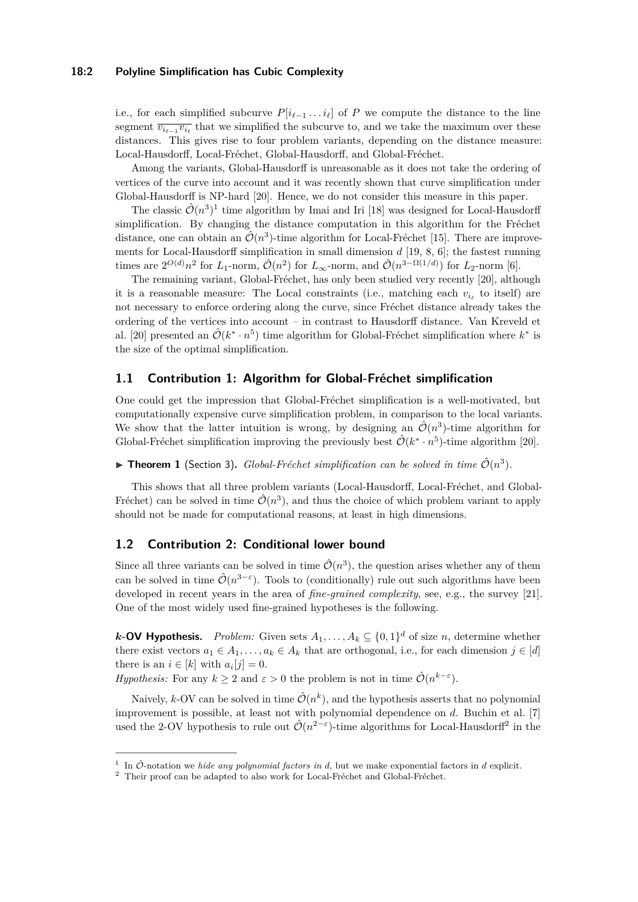#### **18:2 Polyline Simplification has Cubic Complexity**

i.e., for each simplified subcurve  $P[i_{\ell-1} \ldots i_{\ell}]$  of P we compute the distance to the line segment  $\overline{v_{i_{\ell-1}}v_{i_{\ell}}}$  that we simplified the subcurve to, and we take the maximum over these distances. This gives rise to four problem variants, depending on the distance measure: Local-Hausdorff, Local-Fréchet, Global-Hausdorff, and Global-Fréchet.

Among the variants, Global-Hausdorff is unreasonable as it does not take the ordering of vertices of the curve into account and it was recently shown that curve simplification under Global-Hausdorff is NP-hard [\[20\]](#page-15-3). Hence, we do not consider this measure in this paper.

The classic  $\hat{\mathcal{O}}(n^3)^1$  $\hat{\mathcal{O}}(n^3)^1$  time algorithm by Imai and Iri [\[18\]](#page-15-1) was designed for Local-Hausdorff simplification. By changing the distance computation in this algorithm for the Fréchet distance, one can obtain an  $\hat{\mathcal{O}}(n^3)$ -time algorithm for Local-Fréchet [\[15\]](#page-15-4). There are improvements for Local-Hausdorff simplification in small dimension *d* [\[19,](#page-15-5) [8,](#page-15-6) [6\]](#page-15-7); the fastest running times are  $2^{O(d)}n^2$  for *L*<sub>1</sub>-norm,  $\hat{O}(n^2)$  for *L*<sub>∞</sub>-norm, and  $\hat{O}(n^{3-\Omega(1/d)})$  for *L*<sub>2</sub>-norm [\[6\]](#page-15-7).

The remaining variant, Global-Fréchet, has only been studied very recently [\[20\]](#page-15-3), although it is a reasonable measure: The Local constraints (i.e., matching each  $v_{i_{\ell}}$  to itself) are not necessary to enforce ordering along the curve, since Fréchet distance already takes the ordering of the vertices into account – in contrast to Hausdorff distance. Van Kreveld et al. [\[20\]](#page-15-3) presented an  $\hat{\mathcal{O}}(k^* \cdot n^5)$  time algorithm for Global-Fréchet simplification where  $k^*$  is the size of the optimal simplification.

## **1.1 Contribution 1: Algorithm for Global-Fréchet simplification**

One could get the impression that Global-Fréchet simplification is a well-motivated, but computationally expensive curve simplification problem, in comparison to the local variants. We show that the latter intuition is wrong, by designing an  $\hat{\mathcal{O}}(n^3)$ -time algorithm for Global-Fréchet simplification improving the previously best  $\hat{\mathcal{O}}(k^* \cdot n^5)$ -time algorithm [\[20\]](#page-15-3).

<span id="page-1-2"></span>**Theorem 1** (Section [3\)](#page-4-0). *Global-Fréchet simplification can be solved in time*  $\hat{\mathcal{O}}(n^3)$ .

This shows that all three problem variants (Local-Hausdorff, Local-Fréchet, and Global-Fréchet) can be solved in time  $\hat{\mathcal{O}}(n^3)$ , and thus the choice of which problem variant to apply should not be made for computational reasons, at least in high dimensions.

## **1.2 Contribution 2: Conditional lower bound**

Since all three variants can be solved in time  $\hat{\mathcal{O}}(n^3)$ , the question arises whether any of them can be solved in time  $\hat{\mathcal{O}}(n^{3-\epsilon})$ . Tools to (conditionally) rule out such algorithms have been developed in recent years in the area of *fine-grained complexity*, see, e.g., the survey [\[21\]](#page-15-8). One of the most widely used fine-grained hypotheses is the following.

*k***-OV Hypothesis.** *Problem:* Given sets  $A_1, \ldots, A_k \subseteq \{0,1\}^d$  of size *n*, determine whether there exist vectors  $a_1 \in A_1, \ldots, a_k \in A_k$  that are orthogonal, i.e., for each dimension  $j \in [d]$ there is an  $i \in [k]$  with  $a_i[j] = 0$ .

*Hypothesis:* For any  $k \geq 2$  and  $\varepsilon > 0$  the problem is not in time  $\hat{\mathcal{O}}(n^{k-\varepsilon})$ .

Naively, *k*-OV can be solved in time  $\hat{\mathcal{O}}(n^k)$ , and the hypothesis asserts that no polynomial improvement is possible, at least not with polynomial dependence on *d*. Buchin et al. [\[7\]](#page-15-9) used the [2](#page-1-1)-OV hypothesis to rule out  $\hat{\mathcal{O}}(n^{2-\epsilon})$ -time algorithms for Local-Hausdorff<sup>2</sup> in the

<span id="page-1-0"></span><sup>&</sup>lt;sup>1</sup> In  $\hat{O}$ -notation we *hide any polynomial factors in d*, but we make exponential factors in *d* explicit.

<span id="page-1-1"></span><sup>&</sup>lt;sup>2</sup> Their proof can be adapted to also work for Local-Fréchet and Global-Fréchet.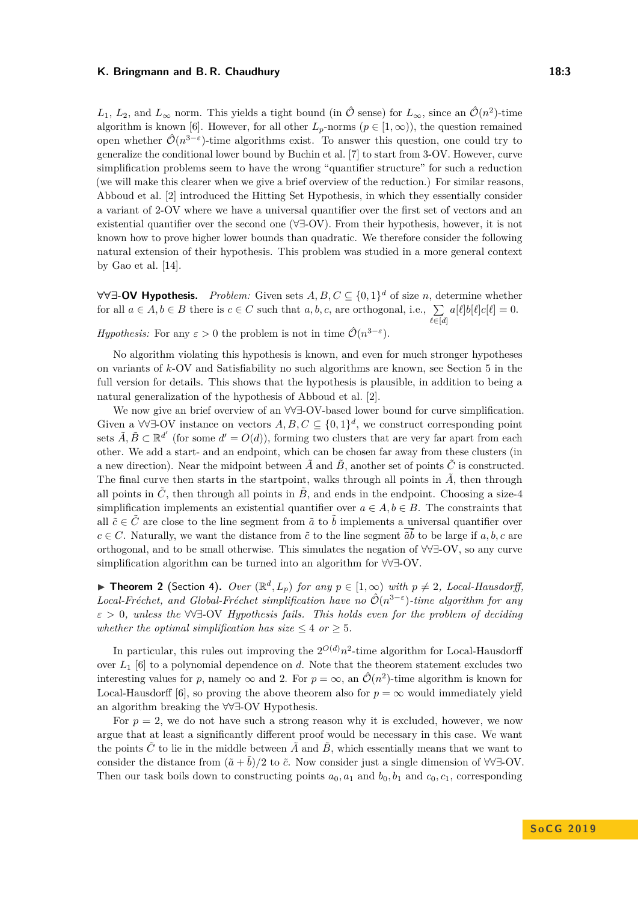#### **K. Bringmann and B. R. Chaudhury 18:3** 18:3

 $L_1, L_2$ , and  $L_{\infty}$  norm. This yields a tight bound (in  $\hat{\mathcal{O}}$  sense) for  $L_{\infty}$ , since an  $\hat{\mathcal{O}}(n^2)$ -time algorithm is known [\[6\]](#page-15-7). However, for all other  $L_p$ -norms  $(p \in [1,\infty))$ , the question remained open whether  $\hat{\mathcal{O}}(n^{3-\epsilon})$ -time algorithms exist. To answer this question, one could try to generalize the conditional lower bound by Buchin et al. [\[7\]](#page-15-9) to start from 3-OV. However, curve simplification problems seem to have the wrong "quantifier structure" for such a reduction (we will make this clearer when we give a brief overview of the reduction.) For similar reasons, Abboud et al. [\[2\]](#page-14-0) introduced the Hitting Set Hypothesis, in which they essentially consider a variant of 2-OV where we have a universal quantifier over the first set of vectors and an existential quantifier over the second one (∀∃-OV). From their hypothesis, however, it is not known how to prove higher lower bounds than quadratic. We therefore consider the following natural extension of their hypothesis. This problem was studied in a more general context by Gao et al. [\[14\]](#page-15-10).

**∀∀∃-OV Hypothesis.** *Problem:* Given sets *A, B, C* ⊆ {0*,* 1} *<sup>d</sup>* of size *n*, determine whether for all  $a \in A, b \in B$  there is  $c \in C$  such that  $a, b, c$ , are orthogonal, i.e.,  $\sum$  $\ell \in [d]$  $a[\ell]b[\ell]c[\ell] = 0.$ 

*Hypothesis:* For any  $\varepsilon > 0$  the problem is not in time  $\hat{\mathcal{O}}(n^{3-\varepsilon})$ .

No algorithm violating this hypothesis is known, and even for much stronger hypotheses on variants of *k*-OV and Satisfiability no such algorithms are known, see Section 5 in the full version for details. This shows that the hypothesis is plausible, in addition to being a natural generalization of the hypothesis of Abboud et al. [\[2\]](#page-14-0).

We now give an brief overview of an ∀∀∃-OV-based lower bound for curve simplification. Given a  $\forall \forall \exists$ -OV instance on vectors  $A, B, C \subseteq \{0,1\}^d$ , we construct corresponding point sets  $\tilde{A}, \tilde{B} \subset \mathbb{R}^{d'}$  (for some  $d' = O(d)$ ), forming two clusters that are very far apart from each other. We add a start- and an endpoint, which can be chosen far away from these clusters (in a new direction). Near the midpoint between  $\tilde{A}$  and  $\tilde{B}$ , another set of points  $\tilde{C}$  is constructed. The final curve then starts in the startpoint, walks through all points in  $\tilde{A}$ , then through all points in  $\tilde{C}$ , then through all points in  $\tilde{B}$ , and ends in the endpoint. Choosing a size-4 simplification implements an existential quantifier over  $a \in A, b \in B$ . The constraints that all  $\tilde{c} \in \tilde{C}$  are close to the line segment from  $\tilde{a}$  to  $\tilde{b}$  implements a universal quantifier over *c* ∈ *C*. Naturally, we want the distance from  $\tilde{c}$  to the line segment  $\overline{a}\overline{b}$  to be large if *a, b, c* are orthogonal, and to be small otherwise. This simulates the negation of ∀∀∃-OV, so any curve simplification algorithm can be turned into an algorithm for ∀∀∃-OV.

▶ **Theorem 2** (Section [4\)](#page-9-0). *Over*  $(\mathbb{R}^d, L_p)$  *for any*  $p \in [1, \infty)$  *with*  $p \neq 2$ *, Local-Hausdorff, Local-Fréchet, and Global-Fréchet simplification have no*  $\hat{\mathcal{O}}(n^{3-\epsilon})$ -time algorithm for any *ε >* 0*, unless the* ∀∀∃-OV *Hypothesis fails. This holds even for the problem of deciding whether the optimal simplification has size*  $\leq 4$  *or*  $\geq 5$ *.* 

In particular, this rules out improving the  $2^{O(d)}n^2$ -time algorithm for Local-Hausdorff over  $L_1$  [\[6\]](#page-15-7) to a polynomial dependence on d. Note that the theorem statement excludes two interesting values for *p*, namely  $\infty$  and 2. For  $p = \infty$ , an  $\hat{\mathcal{O}}(n^2)$ -time algorithm is known for Local-Hausdorff [\[6\]](#page-15-7), so proving the above theorem also for  $p = \infty$  would immediately yield an algorithm breaking the ∀∀∃-OV Hypothesis.

For  $p = 2$ , we do not have such a strong reason why it is excluded, however, we now argue that at least a significantly different proof would be necessary in this case. We want the points  $\tilde{C}$  to lie in the middle between  $\tilde{A}$  and  $\tilde{B}$ , which essentially means that we want to consider the distance from  $(\tilde{a} + \tilde{b})/2$  to  $\tilde{c}$ . Now consider just a single dimension of  $\forall \forall \exists$ -OV. Then our task boils down to constructing points  $a_0, a_1$  and  $b_0, b_1$  and  $c_0, c_1$ , corresponding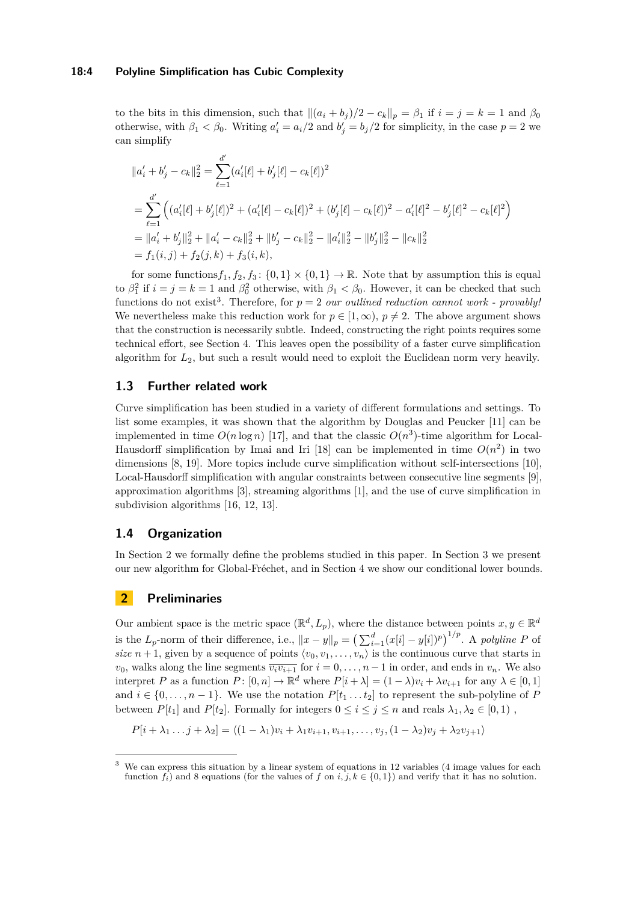#### **18:4 Polyline Simplification has Cubic Complexity**

to the bits in this dimension, such that  $||(a_i + b_j)/2 - c_k||_p = \beta_1$  if  $i = j = k = 1$  and  $\beta_0$ otherwise, with  $\beta_1 < \beta_0$ . Writing  $a'_i = a_i/2$  and  $b'_j = b_j/2$  for simplicity, in the case  $p = 2$  we can simplify

$$
||a'_i + b'_j - c_k||_2^2 = \sum_{\ell=1}^{d'} (a'_i[\ell] + b'_j[\ell] - c_k[\ell])^2
$$
  
= 
$$
\sum_{\ell=1}^{d'} \left( (a'_i[\ell] + b'_j[\ell])^2 + (a'_i[\ell] - c_k[\ell])^2 + (b'_j[\ell] - c_k[\ell])^2 - a'_i[\ell]^2 - b'_j[\ell]^2 - c_k[\ell]^2 \right)
$$
  
= 
$$
||a'_i + b'_j||_2^2 + ||a'_i - c_k||_2^2 + ||b'_j - c_k||_2^2 - ||a'_i||_2^2 - ||b'_j||_2^2 - ||c_k||_2^2
$$
  
= 
$$
f_1(i, j) + f_2(j, k) + f_3(i, k),
$$

for some functions  $f_1, f_2, f_3$ :  $\{0, 1\} \times \{0, 1\} \to \mathbb{R}$ . Note that by assumption this is equal to  $\beta_1^2$  if  $i = j = k = 1$  and  $\beta_0^2$  otherwise, with  $\beta_1 < \beta_0$ . However, it can be checked that such functions do not exist<sup>[3](#page-3-0)</sup>. Therefore, for  $p = 2$  *our outlined reduction cannot work - provably!* We nevertheless make this reduction work for  $p \in [1,\infty)$ ,  $p \neq 2$ . The above argument shows that the construction is necessarily subtle. Indeed, constructing the right points requires some technical effort, see Section [4.](#page-9-0) This leaves open the possibility of a faster curve simplification algorithm for *L*2, but such a result would need to exploit the Euclidean norm very heavily.

## **1.3 Further related work**

Curve simplification has been studied in a variety of different formulations and settings. To list some examples, it was shown that the algorithm by Douglas and Peucker [\[11\]](#page-15-0) can be implemented in time  $O(n \log n)$  [\[17\]](#page-15-11), and that the classic  $O(n^3)$ -time algorithm for Local-Hausdorff simplification by Imai and Iri [\[18\]](#page-15-1) can be implemented in time  $O(n^2)$  in two dimensions [\[8,](#page-15-6) [19\]](#page-15-5). More topics include curve simplification without self-intersections [\[10\]](#page-15-12), Local-Hausdorff simplification with angular constraints between consecutive line segments [\[9\]](#page-15-13), approximation algorithms [\[3\]](#page-14-1), streaming algorithms [\[1\]](#page-14-2), and the use of curve simplification in subdivision algorithms [\[16,](#page-15-14) [12,](#page-15-15) [13\]](#page-15-16).

## **1.4 Organization**

In Section [2](#page-3-1) we formally define the problems studied in this paper. In Section [3](#page-4-0) we present our new algorithm for Global-Fréchet, and in Section [4](#page-9-0) we show our conditional lower bounds.

## <span id="page-3-1"></span>**2 Preliminaries**

Our ambient space is the metric space  $(\mathbb{R}^d, L_p)$ , where the distance between points  $x, y \in \mathbb{R}^d$ is the  $L_p$ -norm of their difference, i.e.,  $||x - y||_p = \left(\sum_{i=1}^d (x[i] - y[i])^p\right)^{1/p}$ . A *polyline P* of *size*  $n + 1$ , given by a sequence of points  $\langle v_0, v_1, \ldots, v_n \rangle$  is the continuous curve that starts in *v*<sub>0</sub>, walks along the line segments  $\overline{v_i v_{i+1}}$  for  $i = 0, \ldots, n-1$  in order, and ends in  $v_n$ . We also interpret *P* as a function  $P: [0, n] \to \mathbb{R}^d$  where  $P[i + \lambda] = (1 - \lambda)v_i + \lambda v_{i+1}$  for any  $\lambda \in [0, 1]$ and  $i \in \{0, \ldots, n-1\}$ . We use the notation  $P[t_1 \ldots t_2]$  to represent the sub-polyline of P between  $P[t_1]$  and  $P[t_2]$ . Formally for integers  $0 \le i \le j \le n$  and reals  $\lambda_1, \lambda_2 \in [0, 1)$ ,

 $P[i + \lambda_1 ... j + \lambda_2] = \langle (1 - \lambda_1)v_i + \lambda_1 v_{i+1}, v_{i+1}, ..., v_j, (1 - \lambda_2)v_j + \lambda_2 v_{j+1} \rangle$ 

<span id="page-3-0"></span>We can express this situation by a linear system of equations in 12 variables (4 image values for each function  $f_i$ ) and 8 equations (for the values of *f* on  $i, j, k \in \{0, 1\}$ ) and verify that it has no solution.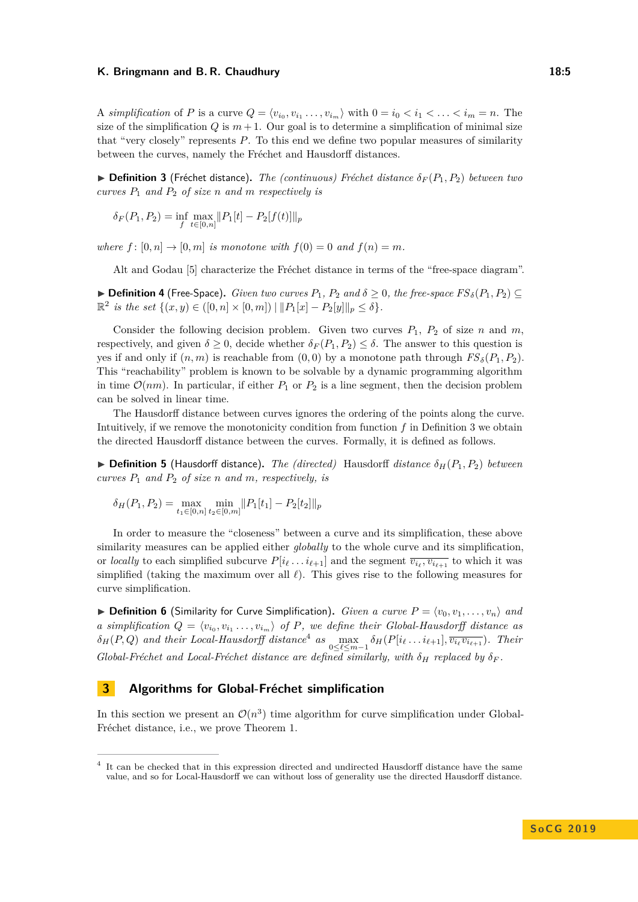#### **K. Bringmann and B. R. Chaudhury 18:5** 18:5

A simplification of *P* is a curve  $Q = \langle v_{i_0}, v_{i_1}, \ldots, v_{i_m} \rangle$  with  $0 = i_0 < i_1 < \ldots < i_m = n$ . The size of the simplification  $Q$  is  $m + 1$ . Our goal is to determine a simplification of minimal size that "very closely" represents *P*. To this end we define two popular measures of similarity between the curves, namely the Fréchet and Hausdorff distances.

<span id="page-4-1"></span> $\triangleright$  **Definition 3** (Fréchet distance). *The (continuous) Fréchet distance*  $\delta_F(P_1, P_2)$  *between two curves P*<sup>1</sup> *and P*<sup>2</sup> *of size n and m respectively is*

$$
\delta_F(P_1, P_2) = \inf_f \max_{t \in [0, n]} ||P_1[t] - P_2[f(t)]||_p
$$

*where*  $f : [0, n] \rightarrow [0, m]$  *is monotone with*  $f(0) = 0$  *and*  $f(n) = m$ *.* 

Alt and Godau [\[5\]](#page-14-3) characterize the Fréchet distance in terms of the "free-space diagram".

**▶ Definition 4** (Free-Space). *Given two curves*  $P_1$ ,  $P_2$  and  $\delta \geq 0$ , the free-space  $FS_{\delta}(P_1, P_2)$  ⊆  $\mathbb{R}^2$  is the set  $\{(x, y) \in ([0, n] \times [0, m]) \mid ||P_1[x] - P_2[y]||_p \le \delta\}.$ 

Consider the following decision problem. Given two curves  $P_1$ ,  $P_2$  of size *n* and *m*, respectively, and given  $\delta \geq 0$ , decide whether  $\delta_F(P_1, P_2) \leq \delta$ . The answer to this question is yes if and only if  $(n, m)$  is reachable from  $(0, 0)$  by a monotone path through  $FS_{\delta}(P_1, P_2)$ . This "reachability" problem is known to be solvable by a dynamic programming algorithm in time  $\mathcal{O}(nm)$ . In particular, if either  $P_1$  or  $P_2$  is a line segment, then the decision problem can be solved in linear time.

The Hausdorff distance between curves ignores the ordering of the points along the curve. Intuitively, if we remove the monotonicity condition from function *f* in Definition [3](#page-4-1) we obtain the directed Hausdorff distance between the curves. Formally, it is defined as follows.

 $\triangleright$  **Definition 5** (Hausdorff distance). *The (directed)* Hausdorff *distance*  $\delta_H(P_1, P_2)$  *between curves P*<sup>1</sup> *and P*<sup>2</sup> *of size n and m, respectively, is*

$$
\delta_H(P_1, P_2) = \max_{t_1 \in [0,n]} \min_{t_2 \in [0,m]} ||P_1[t_1] - P_2[t_2]||_p
$$

In order to measure the "closeness" between a curve and its simplification, these above similarity measures can be applied either *globally* to the whole curve and its simplification, or *locally* to each simplified subcurve  $P[i_{\ell} \ldots i_{\ell+1}]$  and the segment  $\overline{v_{i_{\ell}}}, \overline{v_{i_{\ell+1}}}$  to which it was simplified (taking the maximum over all  $\ell$ ). This gives rise to the following measures for curve simplification.

 $\triangleright$  **Definition 6** (Similarity for Curve Simplification). *Given a curve*  $P = \langle v_0, v_1, \ldots, v_n \rangle$  *and a simplification*  $Q = \langle v_{i_0}, v_{i_1}, \ldots, v_{i_m} \rangle$  of P, we define their Global-Hausdorff distance as  $\delta_H(P,Q)$  and their Local-Hausdorff distance<sup>[4](#page-4-2)</sup> as  $\max_{0 \leq \ell \leq m-1} \delta_H(P[i_{\ell} \dots i_{\ell+1}], \overline{v_{i_{\ell}}v_{i_{\ell+1}}})$ . Their *Global-Fréchet and Local-Fréchet distance are defined similarly, with*  $\delta_H$  *replaced by*  $\delta_F$ *.* 

## <span id="page-4-0"></span>**3 Algorithms for Global-Fréchet simplification**

In this section we present an  $\mathcal{O}(n^3)$  time algorithm for curve simplification under Global-Fréchet distance, i.e., we prove Theorem [1.](#page-1-2)

<span id="page-4-2"></span><sup>&</sup>lt;sup>4</sup> It can be checked that in this expression directed and undirected Hausdorff distance have the same value, and so for Local-Hausdorff we can without loss of generality use the directed Hausdorff distance.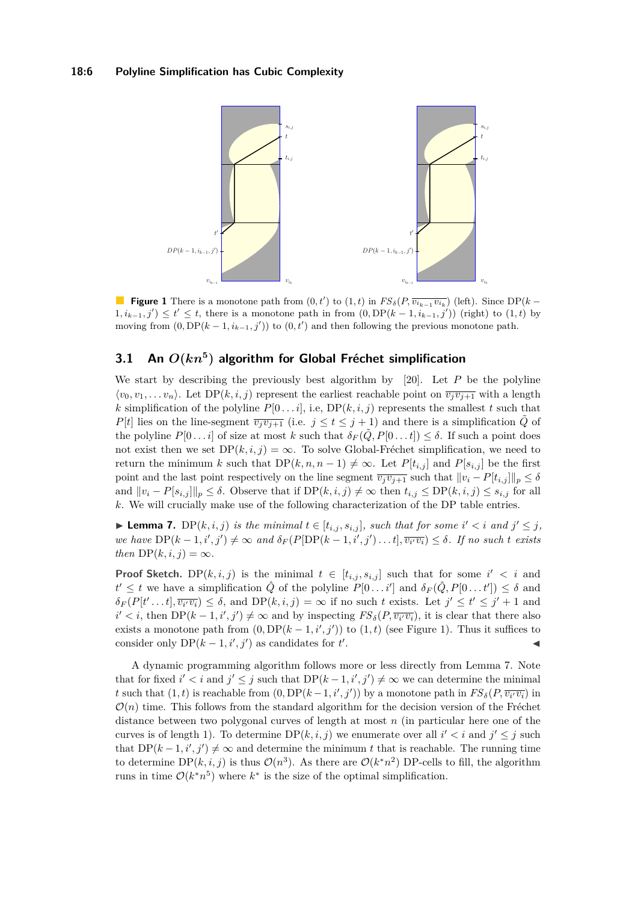<span id="page-5-0"></span>

**Figure 1** There is a monotone path from  $(0, t')$  to  $(1, t)$  in  $FS_\delta(P, \overline{v_{i_{k-1}}v_{i_k}})$  (left). Since  $DP(k - t')$  $1, i_{k-1}, j'$  ≤  $t'$  ≤  $t$ , there is a monotone path in from  $(0, \text{DP}(k-1, i_{k-1}, j'))$  (right) to  $(1, t)$  by moving from  $(0, DP(k-1, i_{k-1}, j'))$  to  $(0, t')$  and then following the previous monotone path.

# **3.1 An** *O***(***kn***<sup>5</sup> ) algorithm for Global Fréchet simplification**

We start by describing the previously best algorithm by [\[20\]](#page-15-3). Let *P* be the polyline  $\langle v_0, v_1, \ldots v_n \rangle$ . Let DP(*k, i, j*) represent the earliest reachable point on  $\overline{v_j v_{j+1}}$  with a length *k* simplification of the polyline  $P[0 \ldots i]$ , i.e,  $DP(k, i, j)$  represents the smallest *t* such that *P*[*t*] lies on the line-segment  $\overline{v_j v_{j+1}}$  (i.e.  $j \le t \le j+1$ ) and there is a simplification  $\tilde{Q}$  of the polyline  $P[0 \dots i]$  of size at most *k* such that  $\delta_F(\tilde{Q}, P[0 \dots t]) \leq \delta$ . If such a point does not exist then we set  $DP(k, i, j) = \infty$ . To solve Global-Fréchet simplification, we need to return the minimum *k* such that  $DP(k, n, n - 1) \neq \infty$ . Let  $P[t_{i,j}]$  and  $P[s_{i,j}]$  be the first point and the last point respectively on the line segment  $\overline{v_j v_{j+1}}$  such that  $||v_i - P[t_{i,j}]||_p \le \delta$ and  $||v_i - P[s_{i,j}||_p \leq \delta$ . Observe that if  $DP(k, i, j) \neq \infty$  then  $t_{i,j} \leq DP(k, i, j) \leq s_{i,j}$  for all *k*. We will crucially make use of the following characterization of the DP table entries.

<span id="page-5-1"></span>▶ **Lemma 7.** DP( $k, i, j$ ) is the minimal  $t \in [t_{i,j}, s_{i,j}]$ , such that for some  $i' < i$  and  $j' \leq j$ , we have  $DP(k-1, i', j') \neq \infty$  and  $\delta_F(P[DP(k-1, i', j') \dots t], \overline{v_{i'}v_i}) \leq \delta$ . If no such t exists *then*  $DP(k, i, j) = \infty$ *.* 

**Proof Sketch.** DP $(k, i, j)$  is the minimal  $t \in [t_{i,j}, s_{i,j}]$  such that for some  $i' < i$  and  $t' \leq t$  we have a simplification  $\hat{Q}$  of the polyline  $P[0 \dots i']$  and  $\delta_F(\hat{Q}, P[0 \dots t']) \leq \delta$  and  $\delta_F(P[t'...t], \overline{v_i v_i}) \leq \delta$ , and  $DP(k, i, j) = \infty$  if no such *t* exists. Let  $j' \leq t' \leq j' + 1$  and  $i' < i$ , then  $DP(k-1, i', j') \neq \infty$  and by inspecting  $FS_{\delta}(P, \overline{v_{i'}v_i})$ , it is clear that there also exists a monotone path from  $(0, DP(k-1, i', j'))$  to  $(1, t)$  (see Figure [1\)](#page-5-0). Thus it suffices to consider only  $DP(k-1, i', j')$  as candidates for  $t'$ . John Stein Stein Stein Stein Stein Stein Stein Stein Stein Stein Stein Stein Stein Stein Stein Stein Stein S<br>Die Stein Stein Stein Stein Stein Stein Stein Stein Stein Stein Stein Stein Stein Stein Stein Stein Stein Stei

A dynamic programming algorithm follows more or less directly from Lemma [7.](#page-5-1) Note that for fixed  $i' < i$  and  $j' \le j$  such that  $DP(k-1, i', j') \neq \infty$  we can determine the minimal *t* such that  $(1, t)$  is reachable from  $(0, DP(k-1, i', j'))$  by a monotone path in  $FS_{\delta}(P, \overline{v_{i'}v_i})$  in  $\mathcal{O}(n)$  time. This follows from the standard algorithm for the decision version of the Fréchet distance between two polygonal curves of length at most *n* (in particular here one of the curves is of length 1). To determine  $DP(k, i, j)$  we enumerate over all  $i' < i$  and  $j' \leq j$  such that  $DP(k-1, i', j') \neq \infty$  and determine the minimum *t* that is reachable. The running time to determine  $DP(k, i, j)$  is thus  $O(n^3)$ . As there are  $O(k^*n^2)$  DP-cells to fill, the algorithm runs in time  $\mathcal{O}(k^*n^5)$  where  $k^*$  is the size of the optimal simplification.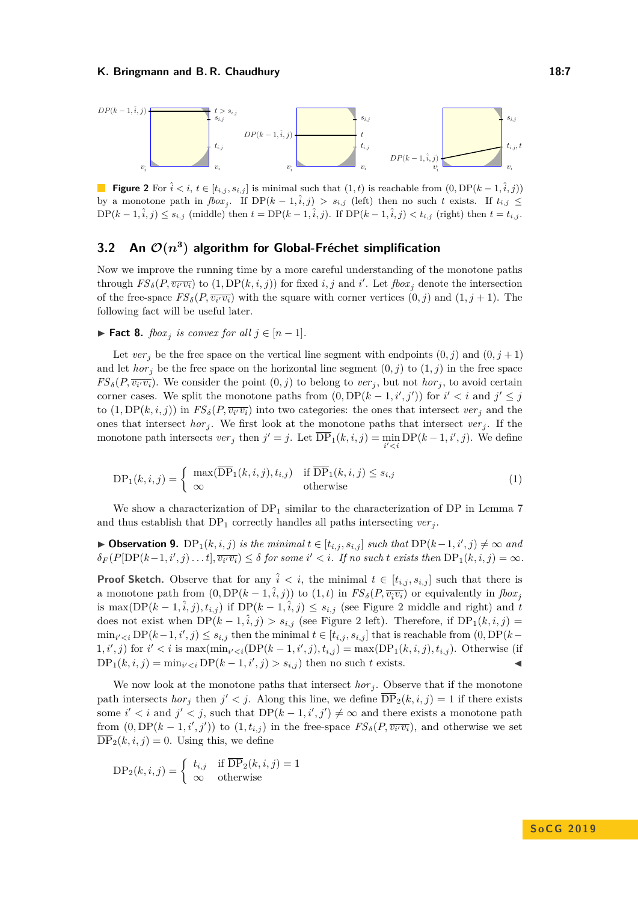#### **K. Bringmann and B. R. Chaudhury 18:7 18:7 18:7**

<span id="page-6-0"></span>

**Figure 2** For  $\hat{i} < i$ ,  $t \in [t_{i,j}, s_{i,j}]$  is minimal such that  $(1, t)$  is reachable from  $(0, DP(k-1, \hat{i}, j))$ by a monotone path in  $fbox_j$ . If  $DP(k-1,\hat{i},j) > s_{i,j}$  (left) then no such *t* exists. If  $t_{i,j} \leq$  $DP(k-1, \hat{i}, j) \leq s_{i,j}$  (middle) then  $t = DP(k-1, \hat{i}, j)$ . If  $DP(k-1, \hat{i}, j) < t_{i,j}$  (right) then  $t = t_{i,j}$ .

# **3.2 An O(***n* **3 ) algorithm for Global-Fréchet simplification**

Now we improve the running time by a more careful understanding of the monotone paths through  $FS_{\delta}(P, \overline{v_i v_i})$  to  $(1, DP(k, i, j))$  for fixed *i, j* and *i*'. Let *fbox<sub>j</sub>* denote the intersection of the free-space  $FS_{\delta}(P, \overline{v_i v_i})$  with the square with corner vertices  $(0, j)$  and  $(1, j + 1)$ . The following fact will be useful later.

► **Fact 8.** *fbox<sub>j</sub> is convex for all*  $j \in [n-1]$ *.* 

Let *ver j* be the free space on the vertical line segment with endpoints  $(0, j)$  and  $(0, j + 1)$ and let *hor*<sub>*i*</sub> be the free space on the horizontal line segment  $(0, j)$  to  $(1, j)$  in the free space  $FS_{\delta}(P, \overline{v_i v_i})$ . We consider the point  $(0, j)$  to belong to *ver j*, but not *hor j*, to avoid certain corner cases. We split the monotone paths from  $(0, DP(k-1, i', j'))$  for  $i' < i$  and  $j' \le j$ to  $(1, DP(k, i, j))$  in  $FS_{\delta}(P, \overline{v_{i'}v_i})$  into two categories: the ones that intersect  $ver_j$  and the ones that intersect *hor<sub>j</sub>*. We first look at the monotone paths that intersect *ver<sub>j</sub>*. If the monotone path intersects  $ver_j$  then  $j' = j$ . Let  $\overline{DP}_1(k, i, j) = \min_{i' < i} DP(k - 1, i', j)$ . We define

<span id="page-6-2"></span>
$$
DP_1(k, i, j) = \begin{cases} \max(\overline{DP}_1(k, i, j), t_{i, j}) & \text{if } \overline{DP}_1(k, i, j) \le s_{i, j} \\ \infty & \text{otherwise} \end{cases}
$$
(1)

We show a characterization of  $DP_1$  similar to the characterization of  $DP$  in Lemma [7](#page-5-1) and thus establish that  $DP_1$  correctly handles all paths intersecting  $ver_j$ .

<span id="page-6-1"></span> $\triangleright$  **Observation 9.** DP<sub>1</sub>( $k, i, j$ ) *is the minimal*  $t \in [t_{i,j}, s_{i,j}]$  *such that* DP( $k-1, i', j$ ) ≠ ∞ *and*  $\delta_F(P[\text{DP}(k-1,i',j)...t], \overline{v_{i'}v_i}) \leq \delta$  for some  $i' < i$ . If no such t exists then  $\text{DP}_1(k,i,j) = \infty$ .

**Proof Sketch.** Observe that for any  $\hat{i} < i$ , the minimal  $t \in [t_{i,j}, s_{i,j}]$  such that there is a monotone path from  $(0, DP(k-1, \hat{i}, j))$  to  $(1, t)$  in  $FS_{\delta}(P, \overline{v_i v_i})$  or equivalently in  $fbox_j$ is max( $DP(k-1, \hat{i}, j), t_{i,j}$ ) if  $DP(k-1, \hat{i}, j) \leq s_{i,j}$  (see Figure [2](#page-6-0) middle and right) and *t* does not exist when  $DP(k-1,i,j) > s_{i,j}$  (see Figure [2](#page-6-0) left). Therefore, if  $DP_1(k,i,j)$  $\min_{i' < i} \text{DP}(k-1, i', j) \leq s_{i,j}$  then the minimal  $t \in [t_{i,j}, s_{i,j}]$  that is reachable from  $(0, \text{DP}(k-1, i', j))$  $1, i', j$  for  $i' < i$  is  $\max(\min_{i' < i} (DP(k-1, i', j), t_{i,j}) = \max(DP_1(k, i, j), t_{i,j})$ . Otherwise (if  $DP_1(k, i, j) = \min_{i' < i} DP(k - 1, i', j) > s_{i, j}$  then no such *t* exists.

We now look at the monotone paths that intersect  $hor_j$ . Observe that if the monotone path intersects *hor*<sub>j</sub> then  $j' < j$ . Along this line, we define  $\overline{DP}_2(k, i, j) = 1$  if there exists some  $i' < i$  and  $j' < j$ , such that  $DP(k-1, i', j') \neq \infty$  and there exists a monotone path from  $(0, DP(k-1, i', j'))$  to  $(1, t_{i,j})$  in the free-space  $FS_{\delta}(P, \overline{v_{i'}v_{i}})$ , and otherwise we set  $\overline{\text{DP}}_2(k, i, j) = 0$ . Using this, we define

$$
DP_2(k, i, j) = \begin{cases} t_{i,j} & \text{if } \overline{DP}_2(k, i, j) = 1\\ \infty & \text{otherwise} \end{cases}
$$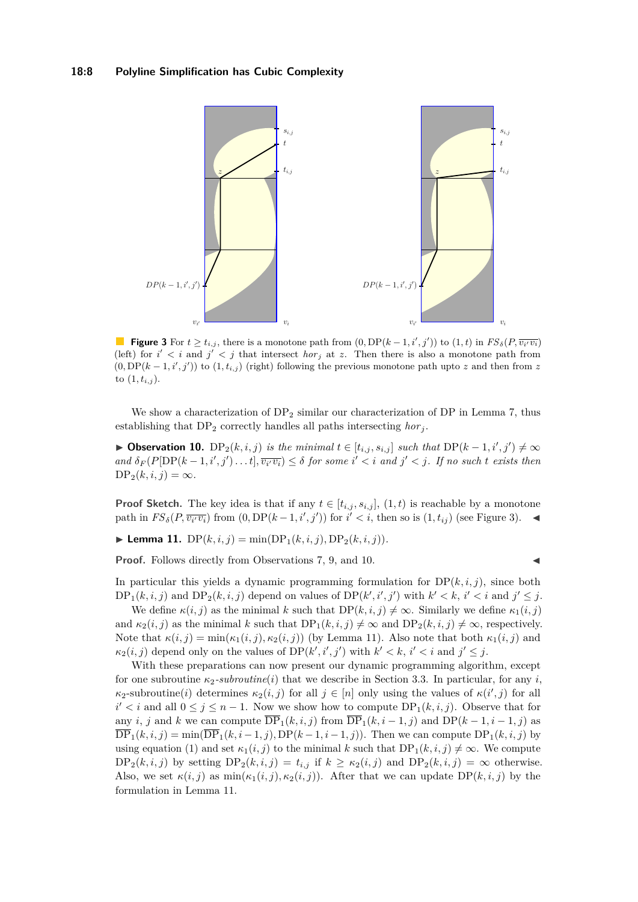<span id="page-7-0"></span>

**Figure 3** For  $t \ge t_{i,j}$ , there is a monotone path from  $(0, DP(k-1, i', j'))$  to  $(1, t)$  in  $FS_{\delta}(P, \overline{v_{i'}v_i})$ (left) for  $i' < i$  and  $j' < j$  that intersect *hor<sub>j</sub>* at z. Then there is also a monotone path from  $(0, DP(k-1, i', j'))$  to  $(1, t_{i,j})$  (right) following the previous monotone path upto *z* and then from *z* to  $(1, t_{i,j}).$ 

We show a characterization of  $DP_2$  similar our characterization of  $DP$  in Lemma [7,](#page-5-1) thus establishing that  $DP_2$  correctly handles all paths intersecting *hor*  $_i$ .

<span id="page-7-1"></span>**► Observation 10.**  $DP_2(k, i, j)$  *is the minimal*  $t \in [t_{i,j}, s_{i,j}]$  *such that*  $DP(k-1, i', j') \neq \infty$ and  $\delta_F(P[DP(k-1, i', j') \dots t], \overline{v_{i'}v_i}) \leq \delta$  for some  $i' < i$  and  $j' < j$ . If no such t exists then  $DP_2(k, i, j) = \infty$ .

**Proof Sketch.** The key idea is that if any  $t \in [t_{i,j}, s_{i,j}]$ ,  $(1, t)$  is reachable by a monotone path in  $FS_{\delta}(P, \overline{v_{i'}v_i})$  from  $(0, DP(k-1, i', j'))$  for  $i' < i$ , then so is  $(1, t_{ij})$  (see Figure [3\)](#page-7-0).

<span id="page-7-2"></span> $\blacktriangleright$  **Lemma 11.** DP( $k, i, j$ ) = min(DP<sub>1</sub>( $k, i, j$ ), DP<sub>2</sub>( $k, i, j$ )).

**Proof.** Follows directly from Observations [7,](#page-5-1) [9,](#page-6-1) and [10.](#page-7-1)

In particular this yields a dynamic programming formulation for  $DP(k, i, j)$ , since both  $DP_1(k, i, j)$  and  $DP_2(k, i, j)$  depend on values of  $DP(k', i', j')$  with  $k' < k, i' < i$  and  $j' \le j$ .

We define  $\kappa(i, j)$  as the minimal *k* such that  $DP(k, i, j) \neq \infty$ . Similarly we define  $\kappa_1(i, j)$ and  $\kappa_2(i, j)$  as the minimal *k* such that  $DP_1(k, i, j) \neq \infty$  and  $DP_2(k, i, j) \neq \infty$ , respectively. Note that  $\kappa(i, j) = \min(\kappa_1(i, j), \kappa_2(i, j))$  (by Lemma [11\)](#page-7-2). Also note that both  $\kappa_1(i, j)$  and  $\kappa_2(i, j)$  depend only on the values of  $DP(k', i', j')$  with  $k' < k, i' < i$  and  $j' \leq j$ .

With these preparations can now present our dynamic programming algorithm, except for one subroutine  $\kappa_2$ -subroutine(*i*) that we describe in Section [3.3.](#page-8-0) In particular, for any *i*,  $\kappa_2$ -subroutine(*i*) determines  $\kappa_2(i,j)$  for all  $j \in [n]$  only using the values of  $\kappa(i',j)$  for all  $i' < i$  and all  $0 \leq j \leq n-1$ . Now we show how to compute  $DP_1(k, i, j)$ . Observe that for any *i*, *j* and *k* we can compute  $\overline{DP}_1(k, i, j)$  from  $\overline{DP}_1(k, i - 1, j)$  and  $DP(k - 1, i - 1, j)$  as  $\overline{\text{DP}}_1(k, i, j) = \min(\overline{\text{DP}}_1(k, i-1, j), \text{DP}(k-1, i-1, j)).$  Then we can compute  $\text{DP}_1(k, i, j)$  by using equation [\(1\)](#page-6-2) and set  $\kappa_1(i,j)$  to the minimal k such that  $DP_1(k,i,j) \neq \infty$ . We compute  $DP_2(k, i, j)$  by setting  $DP_2(k, i, j) = t_{i,j}$  if  $k \geq \kappa_2(i, j)$  and  $DP_2(k, i, j) = \infty$  otherwise. Also, we set  $\kappa(i, j)$  as  $\min(\kappa_1(i, j), \kappa_2(i, j))$ . After that we can update DP( $k, i, j$ ) by the formulation in Lemma [11.](#page-7-2)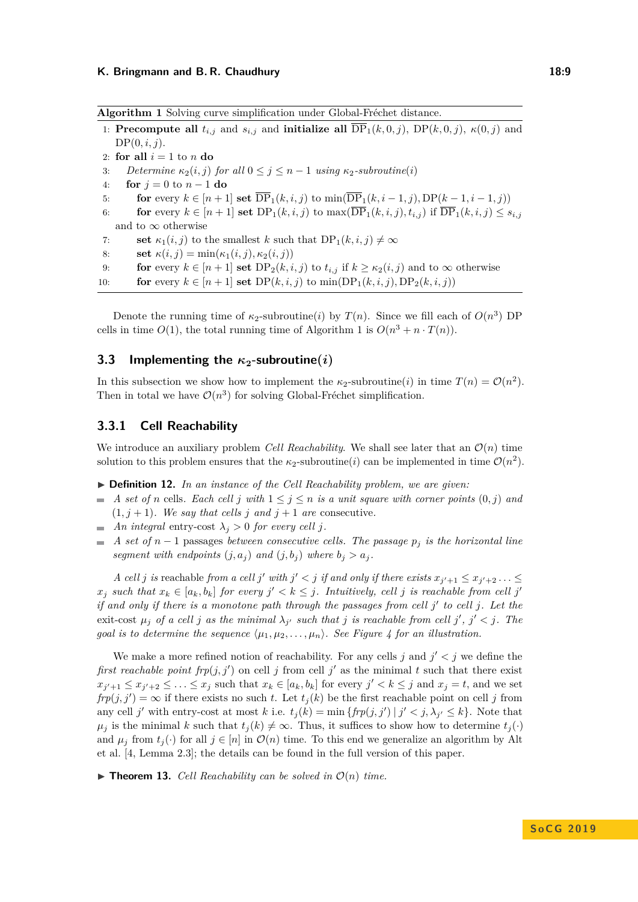<span id="page-8-1"></span>**Algorithm 1** Solving curve simplification under Global-Fréchet distance.

1: **Precompute all**  $t_{i,j}$  and  $s_{i,j}$  and **initialize all**  $\overline{DP}_1(k, 0, j)$ ,  $DP(k, 0, j)$ ,  $\kappa(0, j)$  and  $DP(0, i, j)$ . 2: **for all**  $i = 1$  to  $n$  **do** 3: *Determine*  $\kappa_2(i, j)$  *for all*  $0 \leq j \leq n-1$  *using*  $\kappa_2$ -subroutine(*i*) 4: **for**  $j = 0$  to  $n - 1$  **do** 5: **for** every  $k \in [n+1]$  set  $\overline{DP}_1(k, i, j)$  to  $\min(\overline{DP}_1(k, i - 1, j), DP(k - 1, i - 1, j))$ 6: **for** every  $k \in [n+1]$  set  $DP_1(k, i, j)$  to  $\max(\overline{DP}_1(k, i, j), t_{i,j})$  if  $\overline{DP}_1(k, i, j) \leq s_{i,j}$ and to  $\infty$  otherwise 7: **set**  $\kappa_1(i, j)$  to the smallest *k* such that  $DP_1(k, i, j) \neq \infty$ 8: **set**  $\kappa(i, j) = \min(\kappa_1(i, j), \kappa_2(i, j))$ 9: **for** every  $k \in [n+1]$  set  $DP_2(k, i, j)$  to  $t_{i,j}$  if  $k \geq \kappa_2(i, j)$  and to  $\infty$  otherwise 10: **for** every  $k \in [n+1]$  **set**  $DP(k, i, j)$  to  $\min(DP_1(k, i, j), DP_2(k, i, j))$ 

Denote the running time of  $\kappa_2$ -subroutine(*i*) by  $T(n)$ . Since we fill each of  $O(n^3)$  DP cells in time  $O(1)$ , the total running time of Algorithm [1](#page-8-1) is  $O(n^3 + n \cdot T(n))$ .

## <span id="page-8-0"></span>**3.3** Implementing the  $\kappa_2$ -subroutine $(i)$

In this subsection we show how to implement the  $\kappa_2$ -subroutine(*i*) in time  $T(n) = \mathcal{O}(n^2)$ . Then in total we have  $\mathcal{O}(n^3)$  for solving Global-Fréchet simplification.

## **3.3.1 Cell Reachability**

We introduce an auxiliary problem *Cell Reachability*. We shall see later that an  $\mathcal{O}(n)$  time solution to this problem ensures that the  $\kappa_2$ -subroutine(*i*) can be implemented in time  $\mathcal{O}(n^2)$ .

- I **Definition 12.** *In an instance of the Cell Reachability problem, we are given:*
- $\blacksquare$  *A set of n* cells*. Each cell j with*  $1 \leq j \leq n$  *is a unit square with corner points*  $(0, j)$  *and*  $(1, j + 1)$ *. We say that cells j and*  $j + 1$  *are* consecutive.
- $\blacksquare$  *An integral* entry-cost  $\lambda_j > 0$  *for every cell j.*
- $\blacksquare$  *A set of n* − 1 passages *between consecutive cells. The passage*  $p_j$  *is the horizontal line segment with endpoints*  $(j, a_j)$  *and*  $(j, b_j)$  *where*  $b_j > a_j$ *.*

*A cell j* is reachable *from a cell j'* with  $j' < j$  if and only if there exists  $x_{j'+1} \le x_{j'+2} \ldots \le$ *x*<sub>*j*</sub> such that  $x_k \in [a_k, b_k]$  for every  $j' < k \leq j$ . Intuitively, cell *j* is reachable from cell  $j'$ *if and only if there is a monotone path through the passages from cell j' to cell j. Let the* exit-cost  $\mu_j$  *of a cell j as the minimal*  $\lambda_{j'}$  *such that j is reachable from cell*  $j'$ ,  $j' < j$ *. The goal is to determine the sequence*  $\langle \mu_1, \mu_2, \ldots, \mu_n \rangle$ *. See Figure [4](#page-9-1) for an illustration.* 

We make a more refined notion of reachability. For any cells  $j$  and  $j' < j$  we define the *first reachable point*  $frp(j, j')$  on cell *j* from cell *j'* as the minimal *t* such that there exist  $x_{j'+1} \leq x_{j'+2} \leq \ldots \leq x_j$  such that  $x_k \in [a_k, b_k]$  for every  $j' < k \leq j$  and  $x_j = t$ , and we set  $frp(j, j') = \infty$  if there exists no such *t*. Let  $t_j(k)$  be the first reachable point on cell *j* from any cell *j'* with entry-cost at most *k* i.e.  $t_j(k) = \min \{ frp(j, j') | j' < j, \lambda_{j'} \le k \}$ . Note that  $\mu_i$  is the minimal *k* such that  $t_i(k) \neq \infty$ . Thus, it suffices to show how to determine  $t_i(\cdot)$ and  $\mu_j$  from  $t_j(\cdot)$  for all  $j \in [n]$  in  $\mathcal{O}(n)$  time. To this end we generalize an algorithm by Alt et al. [\[4,](#page-14-4) Lemma 2.3]; the details can be found in the full version of this paper.

 $\triangleright$  **Theorem 13.** *Cell Reachability can be solved in*  $\mathcal{O}(n)$  *time.*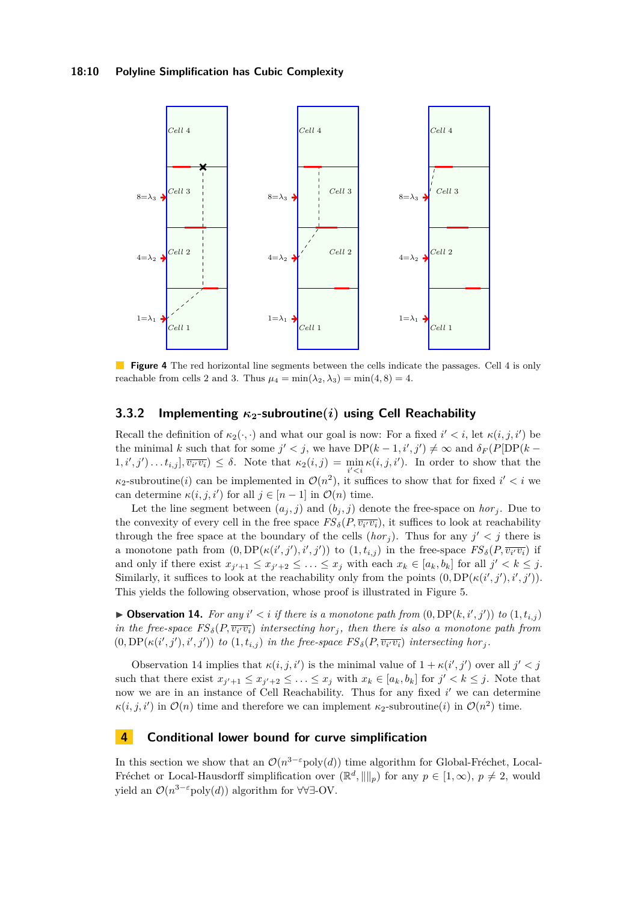### **18:10 Polyline Simplification has Cubic Complexity**

<span id="page-9-1"></span>

**Figure 4** The red horizontal line segments between the cells indicate the passages. Cell 4 is only reachable from cells 2 and 3. Thus  $\mu_4 = \min(\lambda_2, \lambda_3) = \min(4, 8) = 4$ .

# **3.3.2 Implementing** *κ***2-subroutine(***i***) using Cell Reachability**

Recall the definition of  $\kappa_2(\cdot, \cdot)$  and what our goal is now: For a fixed  $i' < i$ , let  $\kappa(i, j, i')$  be the minimal *k* such that for some  $j' < j$ , we have  $DP(k-1, i', j') \neq \infty$  and  $\delta_F(P[DP(k-1, i', j'])$  $(1, i', j') \dots t_{i,j}, \overline{v_{i'}v_i} \leq \delta$ . Note that  $\kappa_2(i, j) = \min_{i' < i} \kappa(i, j, i')$ . In order to show that the  $\kappa_2$ -subroutine(*i*) can be implemented in  $\mathcal{O}(n^2)$ , it suffices to show that for fixed  $i' < i$  we can determine  $\kappa(i, j, i')$  for all  $j \in [n-1]$  in  $\mathcal{O}(n)$  time.

Let the line segment between  $(a_j, j)$  and  $(b_j, j)$  denote the free-space on  $hor_j$ . Due to the convexity of every cell in the free space  $FS_{\delta}(P, \overline{v_{i'}v_i})$ , it suffices to look at reachability through the free space at the boundary of the cells  $(hor_j)$ . Thus for any  $j' < j$  there is a monotone path from  $(0, DP(\kappa(i',j'), i', j'))$  to  $(1, t_{i,j})$  in the free-space  $FS_{\delta}(P, \overline{v_{i'}v_i})$  if and only if there exist  $x_{j'+1} \leq x_{j'+2} \leq \ldots \leq x_j$  with each  $x_k \in [a_k, b_k]$  for all  $j' < k \leq j$ . Similarly, it suffices to look at the reachability only from the points  $(0, DP(\kappa(i',j'), i', j'))$ . This yields the following observation, whose proof is illustrated in Figure [5.](#page-10-0)

<span id="page-9-2"></span> $\blacktriangleright$  **Observation 14.** For any  $i' < i$  if there is a monotone path from  $(0, DP(k, i', j'))$  to  $(1, t_{i,j})$ *in the free-space*  $FS_{\delta}(P, \overline{v_i v_i})$  *intersecting hor<sub>j</sub>, then there is also a monotone path from*  $(0, DP(\kappa(i',j'), i', j'))$  to  $(1, t_{i,j})$  in the free-space  $FS_{\delta}(P, \overline{v_{i'}v_i})$  intersecting hor<sub>j</sub>.

Observation [14](#page-9-2) implies that  $\kappa(i, j, i')$  is the minimal value of  $1 + \kappa(i', j')$  over all  $j' < j$ such that there exist  $x_{j'+1} \leq x_{j'+2} \leq \ldots \leq x_j$  with  $x_k \in [a_k, b_k]$  for  $j' < k \leq j$ . Note that now we are in an instance of Cell Reachability. Thus for any fixed *i*' we can determine  $\kappa(i, j, i')$  in  $\mathcal{O}(n)$  time and therefore we can implement  $\kappa_2$ -subroutine(*i*) in  $\mathcal{O}(n^2)$  time.

## <span id="page-9-0"></span>**4 Conditional lower bound for curve simplification**

In this section we show that an  $\mathcal{O}(n^{3-\epsilon} \text{poly}(d))$  time algorithm for Global-Fréchet, Local-Fréchet or Local-Hausdorff simplification over  $(\mathbb{R}^d, \|\|_p)$  for any  $p \in [1, \infty)$ ,  $p \neq 2$ , would yield an  $\mathcal{O}(n^{3-\epsilon} \text{poly}(d))$  algorithm for  $\forall \forall \exists$ -OV.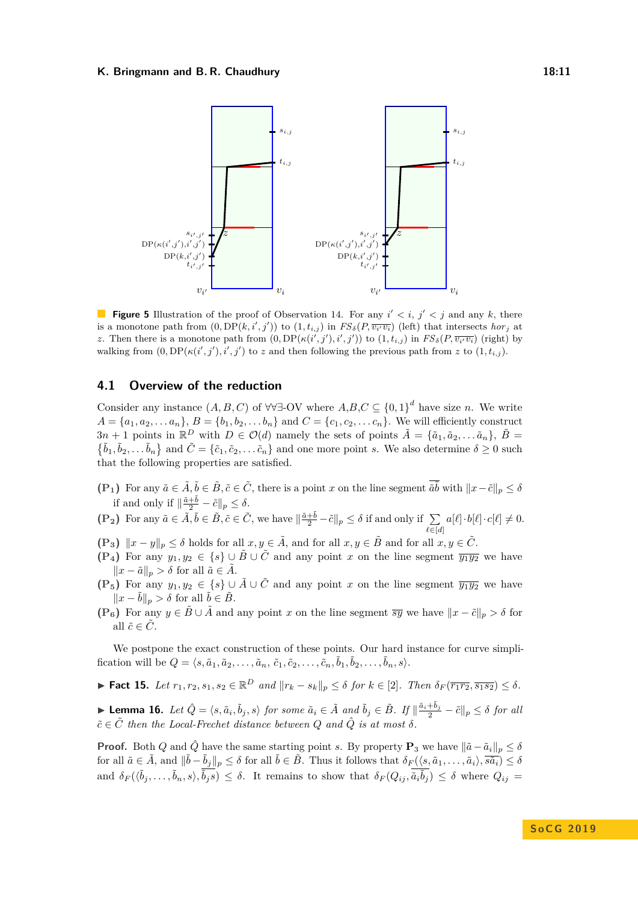#### K. Bringmann and B. R. Chaudhury **18:11**

<span id="page-10-0"></span>

**Figure 5** Illustration of the proof of Observation [14.](#page-9-2) For any  $i' < i$ ,  $j' < j$  and any k, there is a monotone path from  $(0, DP(k, i', j'))$  to  $(1, t_{i,j})$  in  $FS_{\delta}(P, \overline{v_{i'}v_i})$  (left) that intersects *hor j* at z. Then there is a monotone path from  $(0, DP(\kappa(i',j'),i',j'))$  to  $(1,t_{i,j})$  in  $FS_{\delta}(P,\overline{v_{i'}v_i})$  (right) by walking from  $(0, DP(\kappa(i',j'), i', j')$  to *z* and then following the previous path from *z* to  $(1, t_{i,j})$ .

### **4.1 Overview of the reduction**

Consider any instance  $(A, B, C)$  of  $\forall \forall \exists$ -OV where  $A, B, C \subseteq \{0, 1\}^d$  have size *n*. We write  $A = \{a_1, a_2, \dots a_n\}, B = \{b_1, b_2, \dots b_n\}$  and  $C = \{c_1, c_2, \dots c_n\}.$  We will efficiently construct  $3n + 1$  points in  $\mathbb{R}^D$  with  $D \in \mathcal{O}(d)$  namely the sets of points  $\tilde{A} = {\tilde{a}_1, \tilde{a}_2, \ldots, \tilde{a}_n}, \tilde{B} =$  $\{\tilde{b}_1, \tilde{b}_2, \ldots, \tilde{b}_n\}$  and  $\tilde{C} = \{\tilde{c}_1, \tilde{c}_2, \ldots, \tilde{c}_n\}$  and one more point *s*. We also determine  $\delta \geq 0$  such that the following properties are satisfied.

**(P**<sub>1</sub>**)** For any  $\tilde{a} \in \tilde{A}, \tilde{b} \in \tilde{B}, \tilde{c} \in \tilde{C}$ , there is a point *x* on the line segment  $\overline{a}\overline{b}$  with  $||x-\tilde{c}||_p \leq \delta$ if and only if  $\|\frac{\tilde{a}+\tilde{b}}{2}-\tilde{c}\|_p \leq \delta$ .

**(P<sub>2</sub>**) For any  $\tilde{a} \in \tilde{A}, \tilde{b} \in \tilde{B}, \tilde{c} \in \tilde{C}$ , we have  $\|\frac{\tilde{a}+\tilde{b}}{2}-\tilde{c}\|_p \leq \delta$  if and only if  $\sum_{\ell \in [d]}$  $a[\ell] \cdot b[\ell] \cdot c[\ell] \neq 0.$ 

- **(P<sub>3</sub>**)  $\|x y\|_p \le \delta$  holds for all  $x, y \in \tilde{A}$ , and for all  $x, y \in \tilde{B}$  and for all  $x, y \in \tilde{C}$ .
- **(P<sub>4</sub>**) For any  $y_1, y_2 \in \{s\} \cup \tilde{B} \cup \tilde{C}$  and any point *x* on the line segment  $\overline{y_1 y_2}$  we have  $||x - \tilde{a}||_p > \delta$  for all  $\tilde{a} \in \tilde{A}$ .
- **(P**<sub>5</sub>**)** For any  $y_1, y_2 \in \{s\} \cup \tilde{A} \cup \tilde{C}$  and any point *x* on the line segment  $\overline{y_1 y_2}$  we have  $||x - \tilde{b}||_p > \delta$  for all  $\tilde{b} \in \tilde{B}$ .
- **(P**<sub>6</sub>**)** For any  $y \in \mathcal{B} \cup \mathcal{A}$  and any point *x* on the line segment  $\overline{sy}$  we have  $\|x \tilde{c}\|_p > \delta$  for all  $\tilde{c} \in \tilde{C}$ .

We postpone the exact construction of these points. Our hard instance for curve simplification will be  $Q = \langle s, \tilde{a}_1, \tilde{a}_2, \dots, \tilde{a}_n, \tilde{c}_1, \tilde{c}_2, \dots, \tilde{c}_n, \tilde{b}_1, \tilde{b}_2, \dots, \tilde{b}_n, s \rangle$ .

<span id="page-10-1"></span>► Fact 15. Let  $r_1, r_2, s_1, s_2 \in \mathbb{R}^D$  and  $||r_k - s_k||_p \le \delta$  for  $k \in [2]$ . Then  $\delta_F(\overline{r_1r_2}, \overline{s_1s_2}) \le \delta$ .

**Lemma 16.** Let  $\hat{Q} = \langle s, \tilde{a}_i, \tilde{b}_j, s \rangle$  for some  $\tilde{a}_i \in \tilde{A}$  and  $\tilde{b}_j \in \tilde{B}$ . If  $\|\frac{\tilde{a}_i + \tilde{b}_j}{2} - \tilde{c}\|_p \leq \delta$  for all  $\tilde{c} \in \tilde{C}$  *then the Local-Frechet distance between*  $Q$  *and*  $\hat{Q}$  *is at most*  $\delta$ *.* 

**Proof.** Both *Q* and  $\hat{Q}$  have the same starting point *s*. By property **P**<sub>3</sub> we have  $\|\tilde{a} - \tilde{a}_i\|_p \leq \delta$ for all  $\tilde{a} \in \tilde{A}$ , and  $\|\tilde{b} - \tilde{b}_j\|_p \le \delta$  for all  $\tilde{b} \in \tilde{B}$ . Thus it follows that  $\delta_F(\langle s, \tilde{a}_1, \ldots, \tilde{a}_i \rangle, \overline{s\tilde{a}_i}) \le \delta$ and  $\delta_F(\langle \tilde{b}_j,\ldots,\tilde{b}_n,s\rangle,\overline{\tilde{b}_j s})\leq \delta$ . It remains to show that  $\delta_F(Q_{ij},\overline{\tilde{a}_i\tilde{b}_j})\leq \delta$  where  $Q_{ij}$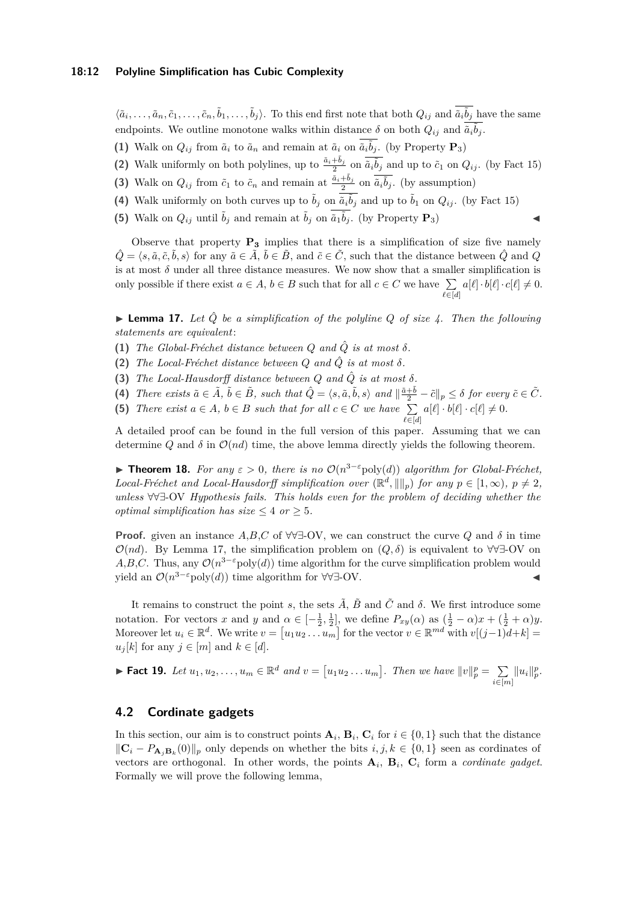#### **18:12 Polyline Simplification has Cubic Complexity**

 $\langle \tilde{a}_i,\ldots,\tilde{a}_n,\tilde{c}_1,\ldots,\tilde{c}_n,\tilde{b}_1,\ldots,\tilde{b}_j\rangle$ . To this end first note that both  $Q_{ij}$  and  $\overline{\tilde{a}_i\tilde{b}_j}$  have the same endpoints. We outline monotone walks within distance  $\delta$  on both  $Q_{ij}$  and  $\overline{\tilde{a}_i \tilde{b}_j}$ .

- (1) Walk on  $Q_{ij}$  from  $\tilde{a}_i$  to  $\tilde{a}_n$  and remain at  $\tilde{a}_i$  on  $\overline{\tilde{a}_i \tilde{b}_j}$ . (by Property  $P_3$ )
- (2) Walk uniformly on both polylines, up to  $\frac{\tilde{a}_i + \tilde{b}_j}{2}$  on  $\overline{\tilde{a}_i \tilde{b}_j}$  and up to  $\tilde{c}_1$  on  $Q_{ij}$ . (by Fact [15\)](#page-10-1)
- (3) Walk on  $Q_{ij}$  from  $\tilde{c}_1$  to  $\tilde{c}_n$  and remain at  $\frac{\tilde{a}_i + \tilde{b}_j}{2}$  on  $\overline{\tilde{a}_i \tilde{b}_j}$ . (by assumption)
- (4) Walk uniformly on both curves up to  $\tilde{b}_j$  on  $\tilde{a}_i \tilde{b}_j$  and up to  $\tilde{b}_1$  on  $Q_{ij}$ . (by Fact [15\)](#page-10-1)
- (5) Walk on  $Q_{ij}$  until  $\tilde{b}_j$  and remain at  $\tilde{b}_j$  on  $\overline{\tilde{a}_1 \tilde{b}_j}$ . (by Property  $P_3$ )

Observe that property  $P_3$  implies that there is a simplification of size five namely  $\hat{Q} = \langle s, \tilde{a}, \tilde{c}, \tilde{b}, s \rangle$  for any  $\tilde{a} \in \tilde{A}, \tilde{b} \in \tilde{B}$ , and  $\tilde{c} \in \tilde{C}$ , such that the distance between  $\hat{Q}$  and  $Q$ is at most  $\delta$  under all three distance measures. We now show that a smaller simplification is only possible if there exist *a* ∈ *A*, *b* ∈ *B* such that for all *c* ∈ *C* we have  $\sum$  $\ell \in [d]$  $a[\ell] \cdot b[\ell] \cdot c[\ell] \neq 0.$ 

<span id="page-11-0"></span> $\triangleright$  **Lemma 17.** Let  $\hat{Q}$  be a simplification of the polyline  $Q$  of size 4. Then the following *statements are equivalent*:

- **(1)** *The Global-Fréchet distance between*  $Q$  *and*  $\hat{Q}$  *is at most*  $\delta$ *.*
- **(2)** *The Local-Fréchet distance between*  $Q$  *and*  $\hat{Q}$  *is at most*  $\delta$ *.*
- **(3)** *The Local-Hausdorff distance between*  $Q$  *and*  $\hat{Q}$  *is at most*  $\delta$ *.*
- (4) There exists  $\tilde{a} \in \tilde{A}$ ,  $\tilde{b} \in \tilde{B}$ , such that  $\hat{Q} = \langle s, \tilde{a}, \tilde{b}, s \rangle$  and  $\|\tilde{\frac{a+\tilde{b}}{2}} \tilde{c}\|_p \leq \delta$  for every  $\tilde{c} \in \tilde{C}$ .
- **(5)** *There exist*  $a \in A$ ,  $b \in B$  *such that for all*  $c \in C$  *we have*  $\sum$  $\ell \in [d]$  $a[\ell] \cdot b[\ell] \cdot c[\ell] \neq 0.$

A detailed proof can be found in the full version of this paper. Assuming that we can determine *Q* and  $\delta$  in  $\mathcal{O}(nd)$  time, the above lemma directly yields the following theorem.

**► Theorem 18.** For any  $\varepsilon > 0$ , there is no  $\mathcal{O}(n^{3-\varepsilon} \text{poly}(d))$  algorithm for Global-Fréchet, *Local-Fréchet and Local-Hausdorff simplification over*  $(\mathbb{R}^d, \|\|_p)$  *for any*  $p \in [1, \infty)$ *,*  $p \neq 2$ *, unless* ∀∀∃-OV *Hypothesis fails. This holds even for the problem of deciding whether the optimal simplification has size*  $\leq 4$  *or*  $> 5$ *.* 

**Proof.** given an instance *A*,*B*,*C* of  $\forall \forall \exists$ -OV, we can construct the curve *Q* and *δ* in time  $\mathcal{O}(nd)$ . By Lemma [17,](#page-11-0) the simplification problem on  $(Q, \delta)$  is equivalent to  $\forall \forall \exists$ -OV on *A*,*B*,*C*. Thus, any  $\mathcal{O}(n^{3-\epsilon} \text{poly}(d))$  time algorithm for the curve simplification problem would yield an  $\mathcal{O}(n^{3-\epsilon} \text{poly}(d))$  time algorithm for  $\forall \forall \exists$ -OV.

It remains to construct the point *s*, the sets  $\tilde{A}$ ,  $\tilde{B}$  and  $\tilde{C}$  and  $\delta$ . We first introduce some notation. For vectors *x* and *y* and  $\alpha \in \left[-\frac{1}{2}, \frac{1}{2}\right]$ , we define  $P_{xy}(\alpha)$  as  $\left(\frac{1}{2} - \alpha\right)x + \left(\frac{1}{2} + \alpha\right)y$ . Moreover let  $u_i \in \mathbb{R}^d$ . We write  $v = \begin{bmatrix} u_1 u_2 \dots u_m \end{bmatrix}$  for the vector  $v \in \mathbb{R}^{md}$  with  $v[(j-1)d+k] =$  $u_i[k]$  for any  $j \in [m]$  and  $k \in [d]$ .

<span id="page-11-2"></span>▶ **Fact 19.** Let  $u_1, u_2, \ldots, u_m \in \mathbb{R}^d$  and  $v = [u_1u_2 \ldots u_m]$ . Then we have  $||v||_p^p = \sum$  $\sum_{i \in [m]} ||u_i||_p^p.$ 

## **4.2 Cordinate gadgets**

<span id="page-11-1"></span>In this section, our aim is to construct points  $\mathbf{A}_i$ ,  $\mathbf{B}_i$ ,  $\mathbf{C}_i$  for  $i \in \{0,1\}$  such that the distance  $\|\mathbf{C}_i - P_{\mathbf{A}_j \mathbf{B}_k}(0)\|_p$  only depends on whether the bits *i, j, k* ∈ {0, 1} seen as cordinates of vectors are orthogonal. In other words, the points  $A_i$ ,  $B_i$ ,  $C_i$  form a *cordinate gadget*. Formally we will prove the following lemma,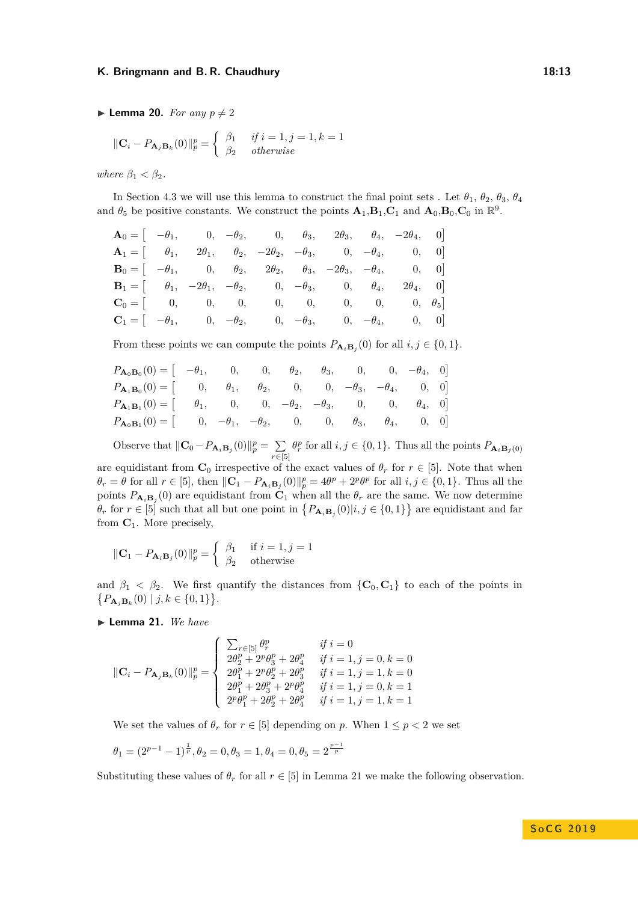#### **K. Bringmann and B. R. Chaudhury 18:13 18:13**

 $\blacktriangleright$  **Lemma 20.** *For any*  $p \neq 2$ 

$$
\|\mathbf{C}_i - P_{\mathbf{A}_j \mathbf{B}_k}(0)\|_p^p = \begin{cases} \beta_1 & \text{if } i = 1, j = 1, k = 1 \\ \beta_2 & \text{otherwise} \end{cases}
$$

*where*  $\beta_1 < \beta_2$ *.* 

In Section [4.3](#page-13-0) we will use this lemma to construct the final point sets . Let  $\theta_1$ ,  $\theta_2$ ,  $\theta_3$ ,  $\theta_4$ and  $\theta_5$  be positive constants. We construct the points  $\mathbf{A}_1, \mathbf{B}_1, \mathbf{C}_1$  and  $\mathbf{A}_0, \mathbf{B}_0, \mathbf{C}_0$  in  $\mathbb{R}^9$ .

$$
\mathbf{A}_0 = \begin{bmatrix} -\theta_1, & 0, & -\theta_2, & 0, & \theta_3, & 2\theta_3, & \theta_4, & -2\theta_4, & 0 \end{bmatrix}
$$
  
\n
$$
\mathbf{A}_1 = \begin{bmatrix} \theta_1, & 2\theta_1, & \theta_2, & -2\theta_2, & -\theta_3, & 0, & -\theta_4, & 0, & 0 \end{bmatrix}
$$
  
\n
$$
\mathbf{B}_0 = \begin{bmatrix} -\theta_1, & 0, & \theta_2, & 2\theta_2, & \theta_3, & -2\theta_3, & -\theta_4, & 0, & 0 \end{bmatrix}
$$
  
\n
$$
\mathbf{B}_1 = \begin{bmatrix} \theta_1, & -2\theta_1, & -\theta_2, & 0, & -\theta_3, & 0, & \theta_4, & 2\theta_4, & 0 \end{bmatrix}
$$
  
\n
$$
\mathbf{C}_0 = \begin{bmatrix} 0, & 0, & 0, & 0, & 0, & 0, & 0, & 0, & \theta_5 \end{bmatrix}
$$
  
\n
$$
\mathbf{C}_1 = \begin{bmatrix} -\theta_1, & 0, & -\theta_2, & 0, & -\theta_3, & 0, & -\theta_4, & 0, & 0 \end{bmatrix}
$$

From these points we can compute the points  $P_{\mathbf{A}_i \mathbf{B}_j}(0)$  for all  $i, j \in \{0, 1\}$ .

| $P_{\mathbf{A}_0\mathbf{B}_0}(0) = \begin{bmatrix} -\theta_1, & 0, & 0, & \theta_2, & \theta_3, & 0, & -\theta_4, & 0 \end{bmatrix}$       |  |  |  |  |  |
|--------------------------------------------------------------------------------------------------------------------------------------------|--|--|--|--|--|
| $P_{\mathbf{A}_1\mathbf{B}_0}(0) = \begin{bmatrix} 0, & \theta_1, & \theta_2, & 0, & 0, & -\theta_3, & -\theta_4, & 0, & 0 \end{bmatrix}$  |  |  |  |  |  |
| $P_{\mathbf{A}_1 \mathbf{B}_1}(0) = \begin{bmatrix} \theta_1, & 0, & 0, & -\theta_2, & -\theta_3, & 0, & 0, & \theta_4, & 0 \end{bmatrix}$ |  |  |  |  |  |
| $P_{\mathbf{A}_0 \mathbf{B}_1}(0) = \begin{bmatrix} 0, & -\theta_1, & -\theta_2, & 0, & 0, & \theta_3, & \theta_4, & 0, & 0 \end{bmatrix}$ |  |  |  |  |  |

Observe that  $\|\mathbf{C}_0 - P_{\mathbf{A}_i \mathbf{B}_j}(0)\|_p^p = \sum_{\alpha}$ *r*∈[5]  $\theta_r^p$  for all  $i, j \in \{0, 1\}$ . Thus all the points  $P_{\mathbf{A}_i \mathbf{B}_j(0)}$ are equidistant from  $C_0$  irrespective of the exact values of  $\theta_r$  for  $r \in [5]$ . Note that when  $\theta_r = \theta$  for all  $r \in [5]$ , then  $\|\mathbf{C}_1 - P_{\mathbf{A}_i \mathbf{B}_j}(0)\|_p^p = 4\theta^p + 2^p \theta^p$  for all  $i, j \in \{0, 1\}$ . Thus all the points  $P_{\mathbf{A}_i \mathbf{B}_j}(0)$  are equidistant from  $\mathbf{C}_1$  when all the  $\theta_r$  are the same. We now determine  $\theta_r$  for  $r \in [5]$  such that all but one point in  $\{P_{\mathbf{A}_i \mathbf{B}_j}(0) | i, j \in \{0, 1\}\}$  are equidistant and far from **C**1. More precisely,

$$
\|\mathbf{C}_1 - P_{\mathbf{A}_i \mathbf{B}_j}(0)\|_p^p = \begin{cases} \beta_1 & \text{if } i = 1, j = 1 \\ \beta_2 & \text{otherwise} \end{cases}
$$

and  $\beta_1 < \beta_2$ . We first quantify the distances from  $\{C_0, C_1\}$  to each of the points in  $\{P_{\mathbf{A}_j\mathbf{B}_k}(0) \mid j, k \in \{0,1\}\}.$ 

<span id="page-12-0"></span>▶ **Lemma 21.** *We have* 

$$
\label{eq:2} \|\mathbf{C}_i - P_{\mathbf{A}_j\mathbf{B}_k}(0)\|_p^p = \left\{ \begin{array}{ll} \sum_{r \in [5]} \theta_r^p & \textit{if } i = 0 \\ 2\theta_2^p + 2^p \theta_3^p + 2\theta_4^p & \textit{if } i = 1, j = 0, k = 0 \\ 2\theta_1^p + 2^p \theta_2^p + 2\theta_3^p & \textit{if } i = 1, j = 1, k = 0 \\ 2\theta_1^p + 2\theta_3^p + 2^p \theta_4^p & \textit{if } i = 1, j = 0, k = 1 \\ 2^p \theta_1^p + 2\theta_2^p + 2\theta_4^p & \textit{if } i = 1, j = 1, k = 1 \end{array} \right.
$$

We set the values of  $\theta_r$  for  $r \in [5]$  depending on p. When  $1 \leq p < 2$  we set

$$
\theta_1 = (2^{p-1}-1)^{\frac{1}{p}}, \theta_2 = 0, \theta_3 = 1, \theta_4 = 0, \theta_5 = 2^{\frac{p-1}{p}}
$$

<span id="page-12-1"></span>Substituting these values of  $\theta_r$  for all  $r \in [5]$  in Lemma [21](#page-12-0) we make the following observation.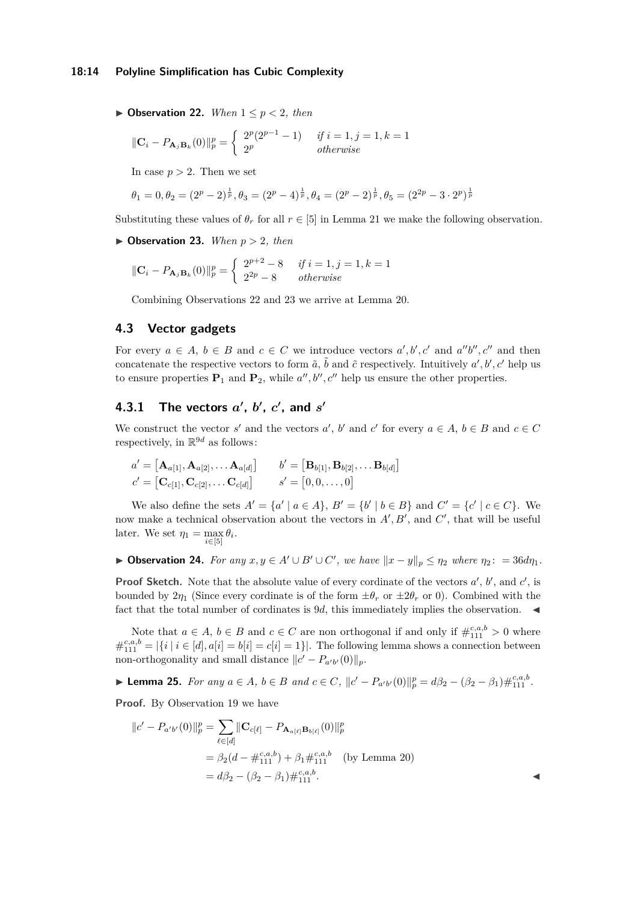#### **18:14 Polyline Simplification has Cubic Complexity**

▶ Observation 22. *When*  $1 \leq p < 2$ *, then* 

$$
\|\mathbf{C}_{i} - P_{\mathbf{A}_{j} \mathbf{B}_{k}}(0)\|_{p}^{p} = \begin{cases} 2^{p}(2^{p-1} - 1) & \text{if } i = 1, j = 1, k = 1\\ 2^{p} & \text{otherwise} \end{cases}
$$

In case  $p > 2$ . Then we set

$$
\theta_1 = 0, \theta_2 = (2^p - 2)^{\frac{1}{p}}, \theta_3 = (2^p - 4)^{\frac{1}{p}}, \theta_4 = (2^p - 2)^{\frac{1}{p}}, \theta_5 = (2^{2p} - 3 \cdot 2^p)^{\frac{1}{p}}
$$

<span id="page-13-1"></span>Substituting these values of  $\theta_r$  for all  $r \in [5]$  in Lemma [21](#page-12-0) we make the following observation.

 $\triangleright$  **Observation 23.** *When*  $p > 2$ *, then* 

$$
\|\mathbf{C}_{i} - P_{\mathbf{A}_{j} \mathbf{B}_{k}}(0)\|_{p}^{p} = \begin{cases} 2^{p+2} - 8 & \text{if } i = 1, j = 1, k = 1 \\ 2^{2p} - 8 & \text{otherwise} \end{cases}
$$

Combining Observations [22](#page-12-1) and [23](#page-13-1) we arrive at Lemma [20.](#page-11-1)

## <span id="page-13-0"></span>**4.3 Vector gadgets**

For every  $a \in A$ ,  $b \in B$  and  $c \in C$  we introduce vectors  $a', b', c'$  and  $a''b'', c''$  and then concatenate the respective vectors to form  $\tilde{a}$ ,  $\tilde{b}$  and  $\tilde{c}$  respectively. Intuitively  $a', b', c'$  help us to ensure properties  $P_1$  and  $P_2$ , while  $a'', b'', c''$  help us ensure the other properties.

# **4.3.1** The vectors  $a'$ ,  $b'$ ,  $c'$ , and  $s'$

We construct the vector *s'* and the vectors  $a'$ ,  $b'$  and  $c'$  for every  $a \in A$ ,  $b \in B$  and  $c \in C$ respectively, in  $\mathbb{R}^{9d}$  as follows:

$$
a' = \begin{bmatrix} \mathbf{A}_{a[1]}, \mathbf{A}_{a[2]}, \dots \mathbf{A}_{a[d]} \end{bmatrix} \qquad b' = \begin{bmatrix} \mathbf{B}_{b[1]}, \mathbf{B}_{b[2]}, \dots \mathbf{B}_{b[d]} \end{bmatrix}
$$
  

$$
c' = \begin{bmatrix} \mathbf{C}_{c[1]}, \mathbf{C}_{c[2]}, \dots \mathbf{C}_{c[d]} \end{bmatrix} \qquad s' = \begin{bmatrix} 0, 0, \dots, 0 \end{bmatrix}
$$

We also define the sets  $A' = \{a' \mid a \in A\}$ ,  $B' = \{b' \mid b \in B\}$  and  $C' = \{c' \mid c \in C\}$ . We now make a technical observation about the vectors in  $A', B'$ , and  $C'$ , that will be useful later. We set  $\eta_1 = \max_{i \in [5]} \theta_i$ .

► Observation 24. *For any*  $x, y \in A' \cup B' \cup C'$ , we have  $||x - y||_p \le \eta_2$  where  $\eta_2$ : = 36 $d\eta_1$ .

**Proof Sketch.** Note that the absolute value of every cordinate of the vectors  $a'$ ,  $b'$ , and  $c'$ , is bounded by  $2\eta_1$  (Since every cordinate is of the form  $\pm\theta_r$  or  $\pm 2\theta_r$  or 0). Combined with the fact that the total number of cordinates is  $9d$ , this immediately implies the observation.

Note that  $a \in A$ ,  $b \in B$  and  $c \in C$  are non orthogonal if and only if  $\#_{111}^{c,a,b} > 0$  where  $\#_{111}^{c,a,b} = |\{i \mid i \in [d], a[i] = b[i] = c[i] = 1\}|$ . The following lemma shows a connection between non-orthogonality and small distance  $||c' - P_{a'b'}(0)||_p$ .

<span id="page-13-2"></span>► Lemma 25. For any  $a \in A$ ,  $b \in B$  and  $c \in C$ ,  $||c' - P_{a'b'}(0)||_p^p = d\beta_2 - (\beta_2 - \beta_1) \#_{111}^{c,a,b}$ .

**Proof.** By Observation [19](#page-11-2) we have

$$
||c' - P_{a'b'}(0)||_p^p = \sum_{\ell \in [d]} ||C_{c[\ell]} - P_{\mathbf{A}_{a[\ell]} \mathbf{B}_{b[\ell]}}(0)||_p^p
$$
  
=  $\beta_2(d - \#_{111}^{c,a,b}) + \beta_1 \#_{111}^{c,a,b}$  (by Lemma 20)  
=  $d\beta_2 - (\beta_2 - \beta_1) \#_{111}^{c,a,b}$ .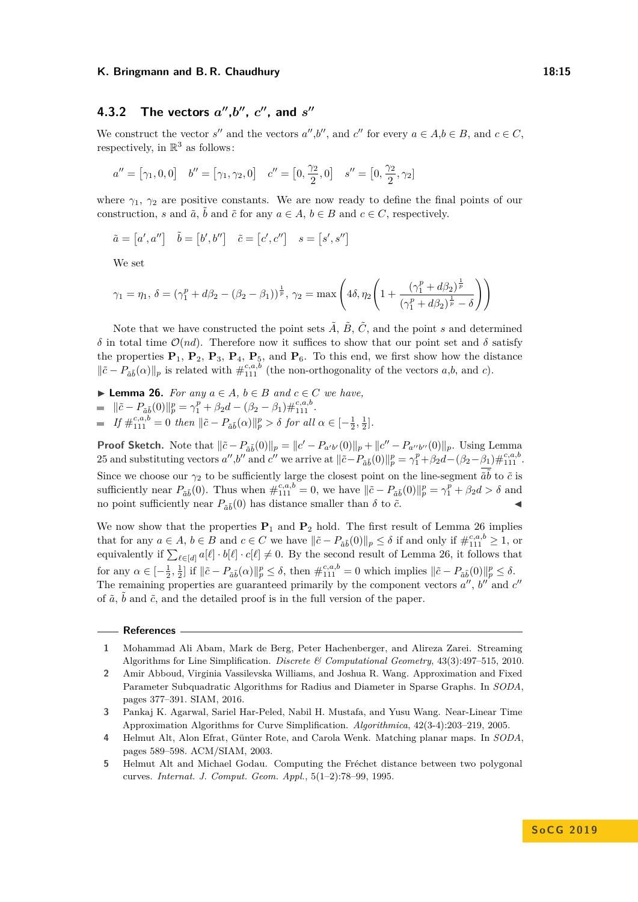#### K. Bringmann and B. R. Chaudhury **18:15**

# **4.3.2** The vectors  $a'', b'', c'',$  and  $s''$

We construct the vector *s*<sup>"</sup> and the vectors  $a''$ ,  $b''$ , and  $c''$  for every  $a \in A$ ,  $b \in B$ , and  $c \in C$ , respectively, in  $\mathbb{R}^3$  as follows:

$$
a'' = [\gamma_1, 0, 0]
$$
  $b'' = [\gamma_1, \gamma_2, 0]$   $c'' = [0, \frac{\gamma_2}{2}, 0]$   $s'' = [0, \frac{\gamma_2}{2}, \gamma_2]$ 

where  $\gamma_1$ ,  $\gamma_2$  are positive constants. We are now ready to define the final points of our construction, *s* and  $\tilde{a}$ ,  $\tilde{b}$  and  $\tilde{c}$  for any  $a \in A$ ,  $b \in B$  and  $c \in C$ , respectively.

$$
\tilde{a} = [a', a''] \quad \tilde{b} = [b', b''] \quad \tilde{c} = [c', c''] \quad s = [s', s'']
$$

We set

$$
\gamma_1 = \eta_1, \, \delta = (\gamma_1^p + d\beta_2 - (\beta_2 - \beta_1))^{\frac{1}{p}}, \, \gamma_2 = \max\left(4\delta, \eta_2 \left(1 + \frac{(\gamma_1^p + d\beta_2)^{\frac{1}{p}}}{(\gamma_1^p + d\beta_2)^{\frac{1}{p}} - \delta}\right)\right)
$$

Note that we have constructed the point sets  $\tilde{A}$ ,  $\tilde{B}$ ,  $\tilde{C}$ , and the point *s* and determined *δ* in total time O(*nd*). Therefore now it suffices to show that our point set and *δ* satisfy the properties  $P_1$ ,  $P_2$ ,  $P_3$ ,  $P_4$ ,  $P_5$ , and  $P_6$ . To this end, we first show how the distance  $\|\tilde{c} - P_{\tilde{a}\tilde{b}}(\alpha)\|_p$  is related with  $\#_{111}^{c,a,b}$  (the non-orthogonality of the vectors *a*,*b*, and *c*).

<span id="page-14-5"></span>▶ **Lemma 26.** *For any*  $a \in A$ ,  $b \in B$  *and*  $c \in C$  *we have,* 

- $\|\tilde{c} P_{\tilde{a}\tilde{b}}(0)\|_p^p = \gamma_1^p + \beta_2 d (\beta_2 \beta_1) \#_{111}^{c,a,b}.$
- $If \#_{111}^{c,a,b} = 0 \ then \ \|\tilde{c} P_{\tilde{a}\tilde{b}}(\alpha)\|_p^p > \delta \ for \ all \ \alpha \in [-\frac{1}{2},\frac{1}{2}].$

**Proof Sketch.** Note that  $\|\tilde{c} - P_{\tilde{a}\tilde{b}}(0)\|_p = \|c' - P_{a'b'}(0)\|_p + \|c'' - P_{a'b''}(0)\|_p$ . Using Lemma [25](#page-13-2) and substituting vectors  $a'', b''$  and  $c''$  we arrive at  $\|\tilde{c} - P_{\tilde{a}\tilde{b}}(0)\|_p^p = \gamma_1^p + \beta_2 d - (\beta_2 - \beta_1) \#_{111}^{c, a, b}$ . Since we choose our  $\gamma_2$  to be sufficiently large the closest point on the line-segment  $\overline{\tilde{a}\tilde{b}}$  to  $\tilde{c}$  is sufficiently near  $P_{\tilde{a}\tilde{b}}(0)$ . Thus when  $\#_{111}^{c,a,b} = 0$ , we have  $\|\tilde{c} - P_{\tilde{a}\tilde{b}}(0)\|_p^p = \gamma_1^p + \beta_2 d > \delta$  and no point sufficiently near  $P_{\tilde{a}\tilde{b}}(0)$  has distance smaller than  $\delta$  to  $\tilde{c}$ .

We now show that the properties  $P_1$  and  $P_2$  hold. The first result of Lemma [26](#page-14-5) implies that for any  $a \in A$ ,  $b \in B$  and  $c \in C$  we have  $\|\tilde{c} - P_{\tilde{a}\tilde{b}}(0)\|_p \leq \delta$  if and only if  $\#_{111}^{c,a,b} \geq 1$ , or equivalently if  $\sum_{\ell \in [d]} a[\ell] \cdot b[\ell] \cdot c[\ell] \neq 0$ . By the second result of Lemma [26,](#page-14-5) it follows that for any  $\alpha \in [-\frac{1}{2}, \frac{1}{2}]$  if  $\|\tilde{c} - P_{\tilde{a}\tilde{b}}(\alpha)\|_{p}^{p} \leq \delta$ , then  $\#_{111}^{c,a,b} = 0$  which implies  $\|\tilde{c} - P_{\tilde{a}\tilde{b}}(0)\|_{p}^{p} \leq \delta$ . The remaining properties are guaranteed primarily by the component vectors  $a''$ ,  $b''$  and  $c''$ of  $\tilde{a}$ ,  $\tilde{b}$  and  $\tilde{c}$ , and the detailed proof is in the full version of the paper.

#### **References**

- <span id="page-14-2"></span>**1** Mohammad Ali Abam, Mark de Berg, Peter Hachenberger, and Alireza Zarei. Streaming Algorithms for Line Simplification. *Discrete & Computational Geometry*, 43(3):497–515, 2010.
- <span id="page-14-0"></span>**2** Amir Abboud, Virginia Vassilevska Williams, and Joshua R. Wang. Approximation and Fixed Parameter Subquadratic Algorithms for Radius and Diameter in Sparse Graphs. In *SODA*, pages 377–391. SIAM, 2016.
- <span id="page-14-1"></span>**3** Pankaj K. Agarwal, Sariel Har-Peled, Nabil H. Mustafa, and Yusu Wang. Near-Linear Time Approximation Algorithms for Curve Simplification. *Algorithmica*, 42(3-4):203–219, 2005.
- <span id="page-14-4"></span>**4** Helmut Alt, Alon Efrat, Günter Rote, and Carola Wenk. Matching planar maps. In *SODA*, pages 589–598. ACM/SIAM, 2003.
- <span id="page-14-3"></span>**5** Helmut Alt and Michael Godau. Computing the Fréchet distance between two polygonal curves. *Internat. J. Comput. Geom. Appl.*, 5(1–2):78–99, 1995.